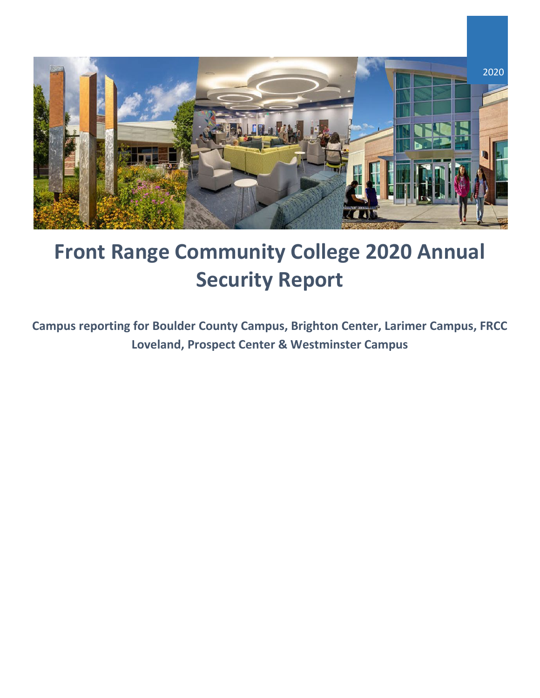

# **Front Range Community College 2021 Annual Security Report**

**Campus reporting for Boulder County Campus, Brighton Center, Larimer Campus, FRCC Loveland, Prospect Center & Westminster Campus**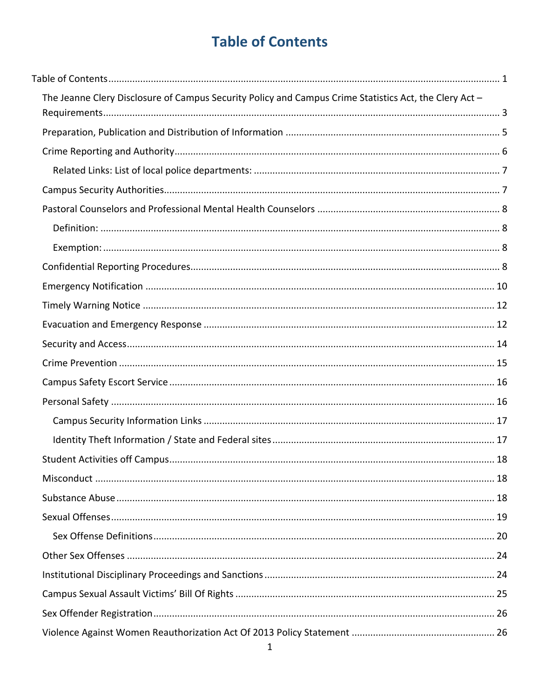## **Table of Contents**

<span id="page-1-0"></span>

| The Jeanne Clery Disclosure of Campus Security Policy and Campus Crime Statistics Act, the Clery Act - |  |
|--------------------------------------------------------------------------------------------------------|--|
|                                                                                                        |  |
|                                                                                                        |  |
|                                                                                                        |  |
|                                                                                                        |  |
|                                                                                                        |  |
|                                                                                                        |  |
|                                                                                                        |  |
|                                                                                                        |  |
|                                                                                                        |  |
|                                                                                                        |  |
|                                                                                                        |  |
|                                                                                                        |  |
|                                                                                                        |  |
|                                                                                                        |  |
|                                                                                                        |  |
|                                                                                                        |  |
|                                                                                                        |  |
|                                                                                                        |  |
|                                                                                                        |  |
|                                                                                                        |  |
|                                                                                                        |  |
|                                                                                                        |  |
|                                                                                                        |  |
|                                                                                                        |  |
|                                                                                                        |  |
|                                                                                                        |  |
|                                                                                                        |  |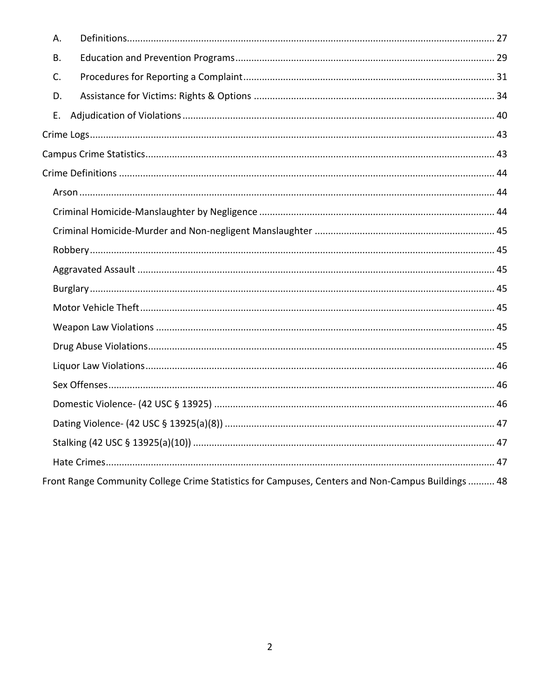| А.        |                                                                                                   |
|-----------|---------------------------------------------------------------------------------------------------|
| <b>B.</b> |                                                                                                   |
| C.        |                                                                                                   |
| D.        |                                                                                                   |
| Е.        |                                                                                                   |
|           |                                                                                                   |
|           |                                                                                                   |
|           |                                                                                                   |
|           |                                                                                                   |
|           |                                                                                                   |
|           |                                                                                                   |
|           |                                                                                                   |
|           |                                                                                                   |
|           |                                                                                                   |
|           |                                                                                                   |
|           |                                                                                                   |
|           |                                                                                                   |
|           |                                                                                                   |
|           |                                                                                                   |
|           |                                                                                                   |
|           |                                                                                                   |
|           |                                                                                                   |
|           |                                                                                                   |
|           | Front Range Community College Crime Statistics for Campuses, Centers and Non-Campus Buildings  48 |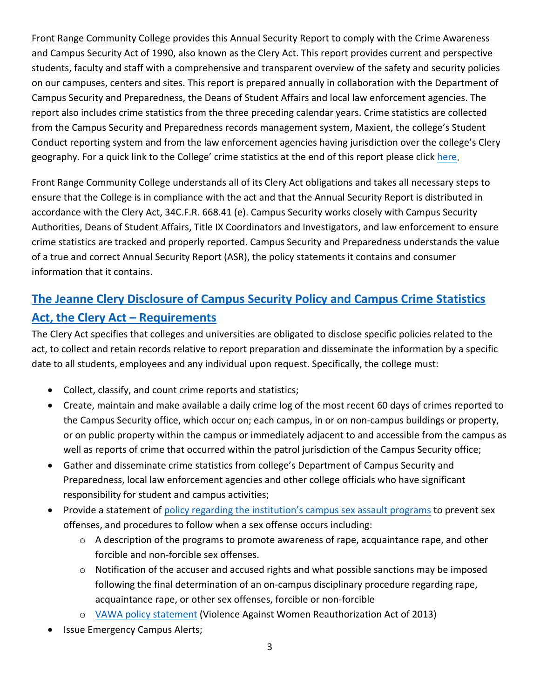Front Range Community College provides this Annual Security Report to comply with the Crime Awareness and Campus Security Act of 1990, also known as the Clery Act. This report provides current and perspective students, faculty and staff with a comprehensive and transparent overview of the safety and security policies on our campuses, centers and sites. This report is prepared annually in collaboration with the Department of Campus Security and Preparedness, the Deans of Student Affairs and local law enforcement agencies. The report also includes crime statistics from the three preceding calendar years. Crime statistics are collected from the Campus Security and Preparedness records management system, Maxient, the college's Student Conduct reporting system and from the law enforcement agencies having jurisdiction over the college's Clery geography. For a quick link to the College' crime statistics at the end of this report please click [here.](#page-47-3)

Front Range Community College understands all of its Clery Act obligations and takes all necessary steps to ensure that the College is in compliance with the act and that the Annual Security Report is distributed in accordance with the Clery Act, 34C.F.R. 668.41 (e). Campus Security works closely with Campus Security Authorities, Deans of Student Affairs, Title IX Coordinators and Investigators, and law enforcement to ensure crime statistics are tracked and properly reported. Campus Security and Preparedness understands the value of a true and correct Annual Security Report (ASR), the policy statements it contains and consumer information that it contains.

## <span id="page-3-0"></span>**[The Jeanne Clery Disclosure of Campus Security Policy and Campus Crime Statistics](#page-1-0)  [Act, the Clery Act –](#page-1-0) Requirements**

The Clery Act specifies that colleges and universities are obligated to disclose specific policies related to the act, to collect and retain records relative to report preparation and disseminate the information by a specific date to all students, employees and any individual upon request. Specifically, the college must:

- Collect, classify, and count crime reports and statistics;
- Create, maintain and make available a daily crime log of the most recent 60 days of crimes reported to the Campus Security office, which occur on; each campus, in or on non-campus buildings or property, or on public property within the campus or immediately adjacent to and accessible from the campus as well as reports of crime that occurred within the patrol jurisdiction of the Campus Security office;
- Gather and disseminate crime statistics from college's Department of Campus Security and Preparedness, local law enforcement agencies and other college officials who have significant responsibility for student and campus activities;
- Provide a statement of [policy regarding the institution's campus sex assault programs](#page-19-0) to prevent sex offenses, and procedures to follow when a sex offense occurs including:
	- $\circ$  A description of the programs to promote awareness of rape, acquaintance rape, and other forcible and non-forcible sex offenses.
	- o Notification of the accuser and accused rights and what possible sanctions may be imposed following the final determination of an on-campus disciplinary procedure regarding rape, acquaintance rape, or other sex offenses, forcible or non-forcible
	- o [VAWA policy statement](#page-26-1) (Violence Against Women Reauthorization Act of 2013)
- **Issue Emergency Campus Alerts;**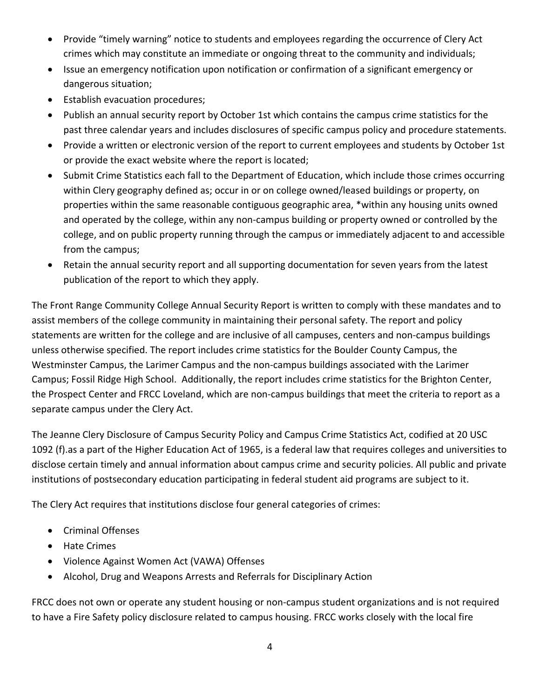- Provide "timely warning" notice to students and employees regarding the occurrence of Clery Act crimes which may constitute an immediate or ongoing threat to the community and individuals;
- Issue an emergency notification upon notification or confirmation of a significant emergency or dangerous situation;
- Establish evacuation procedures;
- Publish an annual security report by October 1st which contains the campus crime statistics for the past three calendar years and includes disclosures of specific campus policy and procedure statements.
- Provide a written or electronic version of the report to current employees and students by October 1st or provide the exact website where the report is located;
- Submit Crime Statistics each fall to the Department of Education, which include those crimes occurring within Clery geography defined as; occur in or on college owned/leased buildings or property, on properties within the same reasonable contiguous geographic area, \*within any housing units owned and operated by the college, within any non-campus building or property owned or controlled by the college, and on public property running through the campus or immediately adjacent to and accessible from the campus;
- Retain the annual security report and all supporting documentation for seven years from the latest publication of the report to which they apply.

The Front Range Community College Annual Security Report is written to comply with these mandates and to assist members of the college community in maintaining their personal safety. The report and policy statements are written for the college and are inclusive of all campuses, centers and non-campus buildings unless otherwise specified. The report includes crime statistics for the Boulder County Campus, the Westminster Campus, the Larimer Campus and the non-campus buildings associated with the Larimer Campus; Fossil Ridge High School. Additionally, the report includes crime statistics for the Brighton Center, the Prospect Center and FRCC Loveland, which are non-campus buildings that meet the criteria to report as a separate campus under the Clery Act.

The Jeanne Clery Disclosure of Campus Security Policy and Campus Crime Statistics Act, codified at 20 USC 1092 (f).as a part of the Higher Education Act of 1965, is a federal law that requires colleges and universities to disclose certain timely and annual information about campus crime and security policies. All public and private institutions of postsecondary education participating in federal student aid programs are subject to it.

The Clery Act requires that institutions disclose four general categories of crimes:

- Criminal Offenses
- Hate Crimes
- Violence Against Women Act (VAWA) Offenses
- Alcohol, Drug and Weapons Arrests and Referrals for Disciplinary Action

FRCC does not own or operate any student housing or non-campus student organizations and is not required to have a Fire Safety policy disclosure related to campus housing. FRCC works closely with the local fire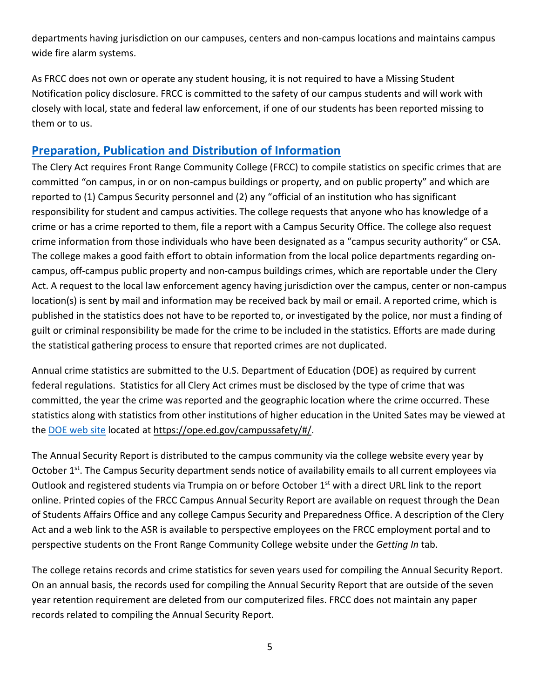departments having jurisdiction on our campuses, centers and non-campus locations and maintains campus wide fire alarm systems.

As FRCC does not own or operate any student housing, it is not required to have a Missing Student Notification policy disclosure. FRCC is committed to the safety of our campus students and will work with closely with local, state and federal law enforcement, if one of our students has been reported missing to them or to us.

## <span id="page-5-0"></span>**[Preparation, Publication and Distribution of Information](#page-1-0)**

The Clery Act requires Front Range Community College (FRCC) to compile statistics on specific crimes that are committed "on campus, in or on non-campus buildings or property, and on public property" and which are reported to (1) Campus Security personnel and (2) any "official of an institution who has significant responsibility for student and campus activities. The college requests that anyone who has knowledge of a crime or has a crime reported to them, file a report with a Campus Security Office. The college also request crime information from those individuals who have been designated as a "campus security authority" or CSA. The college makes a good faith effort to obtain information from the local police departments regarding oncampus, off-campus public property and non-campus buildings crimes, which are reportable under the Clery Act. A request to the local law enforcement agency having jurisdiction over the campus, center or non-campus location(s) is sent by mail and information may be received back by mail or email. A reported crime, which is published in the statistics does not have to be reported to, or investigated by the police, nor must a finding of guilt or criminal responsibility be made for the crime to be included in the statistics. Efforts are made during the statistical gathering process to ensure that reported crimes are not duplicated.

Annual crime statistics are submitted to the U.S. Department of Education (DOE) as required by current federal regulations. Statistics for all Clery Act crimes must be disclosed by the type of crime that was committed, the year the crime was reported and the geographic location where the crime occurred. These statistics along with statistics from other institutions of higher education in the United Sates may be viewed at the [DOE web site](https://ope.ed.gov/campussafety/#/) located at https://ope.ed.gov/campussafety/#/.

The Annual Security Report is distributed to the campus community via the college website every year by October 1<sup>st</sup>. The Campus Security department sends notice of availability emails to all current employees via Outlook and registered students via Trumpia on or before October 1<sup>st</sup> with a direct URL link to the report online. Printed copies of the FRCC Campus Annual Security Report are available on request through the Dean of Students Affairs Office and any college Campus Security and Preparedness Office. A description of the Clery Act and a web link to the ASR is available to perspective employees on the FRCC employment portal and to perspective students on the Front Range Community College website under the *Getting In* tab.

The college retains records and crime statistics for seven years used for compiling the Annual Security Report. On an annual basis, the records used for compiling the Annual Security Report that are outside of the seven year retention requirement are deleted from our computerized files. FRCC does not maintain any paper records related to compiling the Annual Security Report.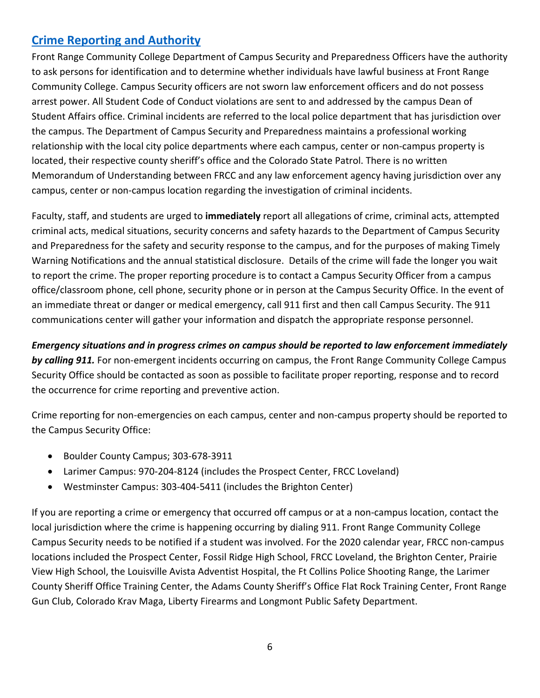## <span id="page-6-0"></span>**[Crime Reporting and Authority](#page-1-0)**

Front Range Community College Department of Campus Security and Preparedness Officers have the authority to ask persons for identification and to determine whether individuals have lawful business at Front Range Community College. Campus Security officers are not sworn law enforcement officers and do not possess arrest power. All Student Code of Conduct violations are sent to and addressed by the campus Dean of Student Affairs office. Criminal incidents are referred to the local police department that has jurisdiction over the campus. The Department of Campus Security and Preparedness maintains a professional working relationship with the local city police departments where each campus, center or non-campus property is located, their respective county sheriff's office and the Colorado State Patrol. There is no written Memorandum of Understanding between FRCC and any law enforcement agency having jurisdiction over any campus, center or non-campus location regarding the investigation of criminal incidents.

Faculty, staff, and students are urged to **immediately** report all allegations of crime, criminal acts, attempted criminal acts, medical situations, security concerns and safety hazards to the Department of Campus Security and Preparedness for the safety and security response to the campus, and for the purposes of making Timely Warning Notifications and the annual statistical disclosure. Details of the crime will fade the longer you wait to report the crime. The proper reporting procedure is to contact a Campus Security Officer from a campus office/classroom phone, cell phone, security phone or in person at the Campus Security Office. In the event of an immediate threat or danger or medical emergency, call 911 first and then call Campus Security. The 911 communications center will gather your information and dispatch the appropriate response personnel.

*Emergency situations and in progress crimes on campus should be reported to law enforcement immediately by calling 911.* For non-emergent incidents occurring on campus, the Front Range Community College Campus Security Office should be contacted as soon as possible to facilitate proper reporting, response and to record the occurrence for crime reporting and preventive action.

Crime reporting for non-emergencies on each campus, center and non-campus property should be reported to the Campus Security Office:

- Boulder County Campus; 303-678-3911
- Larimer Campus: 970-204-8124 (includes the Prospect Center, FRCC Loveland)
- Westminster Campus: 303-404-5411 (includes the Brighton Center)

If you are reporting a crime or emergency that occurred off campus or at a non-campus location, contact the local jurisdiction where the crime is happening occurring by dialing 911. Front Range Community College Campus Security needs to be notified if a student was involved. For the 2020 calendar year, FRCC non-campus locations included the Prospect Center, Fossil Ridge High School, FRCC Loveland, the Brighton Center, Prairie View High School, the Louisville Avista Adventist Hospital, the Ft Collins Police Shooting Range, the Larimer County Sheriff Office Training Center, the Adams County Sheriff's Office Flat Rock Training Center, Front Range Gun Club, Colorado Krav Maga, Liberty Firearms and Longmont Public Safety Department.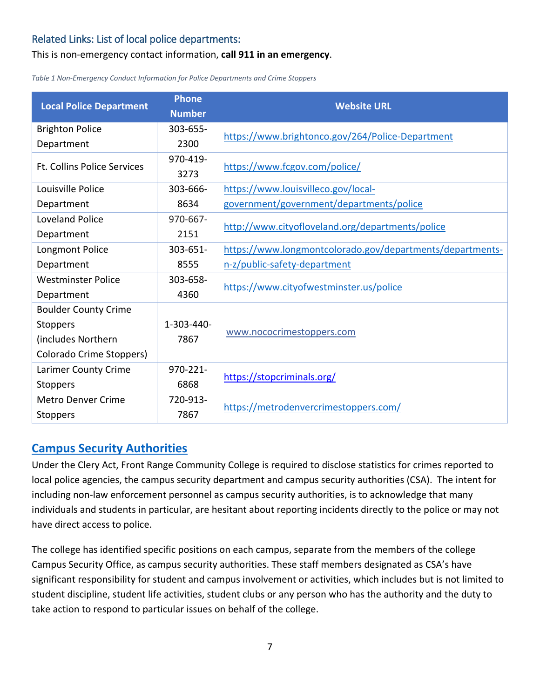## <span id="page-7-0"></span>Related Links: List of local police departments:

#### This is non-emergency contact information, **call 911 in an emergency**.

*Table 1 Non-Emergency Conduct Information for Police Departments and Crime Stoppers*

| <b>Local Police Department</b>     | <b>Phone</b><br><b>Number</b> | <b>Website URL</b>                                        |  |
|------------------------------------|-------------------------------|-----------------------------------------------------------|--|
| <b>Brighton Police</b>             | 303-655-                      |                                                           |  |
| Department                         | 2300                          | https://www.brightonco.gov/264/Police-Department          |  |
| <b>Ft. Collins Police Services</b> | 970-419-                      | https://www.fcgov.com/police/                             |  |
|                                    | 3273                          |                                                           |  |
| Louisville Police                  | $303 - 666 -$                 | https://www.louisvilleco.gov/local-                       |  |
| Department                         | 8634                          | government/government/departments/police                  |  |
| <b>Loveland Police</b>             | 970-667-                      | http://www.cityofloveland.org/departments/police          |  |
| Department                         | 2151                          |                                                           |  |
| Longmont Police                    | 303-651-                      | https://www.longmontcolorado.gov/departments/departments- |  |
| Department                         | 8555                          | n-z/public-safety-department                              |  |
| <b>Westminster Police</b>          | 303-658-                      | https://www.cityofwestminster.us/police                   |  |
| Department                         | 4360                          |                                                           |  |
| <b>Boulder County Crime</b>        |                               |                                                           |  |
| <b>Stoppers</b>                    | 1-303-440-                    | www.nococrimestoppers.com                                 |  |
| (includes Northern                 | 7867                          |                                                           |  |
| Colorado Crime Stoppers)           |                               |                                                           |  |
| Larimer County Crime               | 970-221-                      | https://stopcriminals.org/                                |  |
| <b>Stoppers</b>                    | 6868                          |                                                           |  |
| <b>Metro Denver Crime</b>          | 720-913-                      |                                                           |  |
| <b>Stoppers</b>                    | 7867                          | https://metrodenvercrimestoppers.com/                     |  |

## <span id="page-7-1"></span>**Campus [Security Authorities](#page-1-0)**

Under the Clery Act, Front Range Community College is required to disclose statistics for crimes reported to local police agencies, the campus security department and campus security authorities (CSA). The intent for including non-law enforcement personnel as campus security authorities, is to acknowledge that many individuals and students in particular, are hesitant about reporting incidents directly to the police or may not have direct access to police.

The college has identified specific positions on each campus, separate from the members of the college Campus Security Office, as campus security authorities. These staff members designated as CSA's have significant responsibility for student and campus involvement or activities, which includes but is not limited to student discipline, student life activities, student clubs or any person who has the authority and the duty to take action to respond to particular issues on behalf of the college.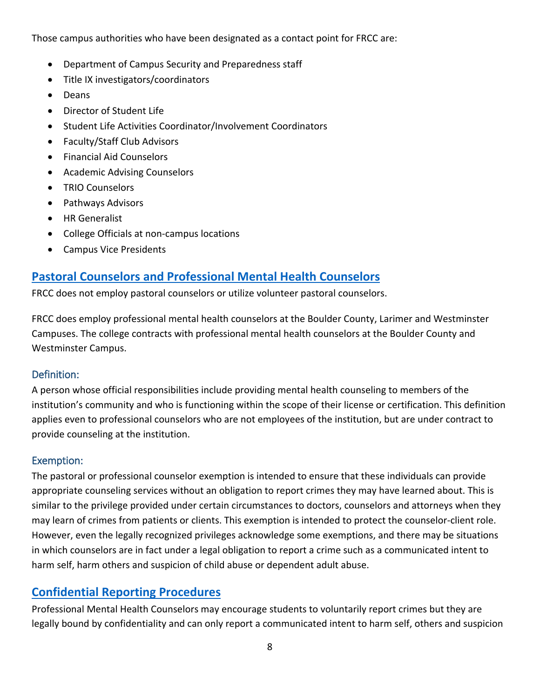Those campus authorities who have been designated as a contact point for FRCC are:

- Department of Campus Security and Preparedness staff
- Title IX investigators/coordinators
- Deans
- Director of Student Life
- Student Life Activities Coordinator/Involvement Coordinators
- Faculty/Staff Club Advisors
- Financial Aid Counselors
- Academic Advising Counselors
- TRIO Counselors
- Pathways Advisors
- HR Generalist
- College Officials at non-campus locations
- Campus Vice Presidents

## <span id="page-8-0"></span>**[Pastoral Counselors and Professional Mental Health Counselors](#page-1-0)**

FRCC does not employ pastoral counselors or utilize volunteer pastoral counselors.

FRCC does employ professional mental health counselors at the Boulder County, Larimer and Westminster Campuses. The college contracts with professional mental health counselors at the Boulder County and Westminster Campus.

#### <span id="page-8-1"></span>Definition:

A person whose official responsibilities include providing mental health counseling to members of the institution's community and who is functioning within the scope of their license or certification. This definition applies even to professional counselors who are not employees of the institution, but are under contract to provide counseling at the institution.

#### <span id="page-8-2"></span>Exemption:

The pastoral or professional counselor exemption is intended to ensure that these individuals can provide appropriate counseling services without an obligation to report crimes they may have learned about. This is similar to the privilege provided under certain circumstances to doctors, counselors and attorneys when they may learn of crimes from patients or clients. This exemption is intended to protect the counselor-client role. However, even the legally recognized privileges acknowledge some exemptions, and there may be situations in which counselors are in fact under a legal obligation to report a crime such as a communicated intent to harm self, harm others and suspicion of child abuse or dependent adult abuse.

## <span id="page-8-3"></span>**[Confidential Reporting Procedures](#page-1-0)**

Professional Mental Health Counselors may encourage students to voluntarily report crimes but they are legally bound by confidentiality and can only report a communicated intent to harm self, others and suspicion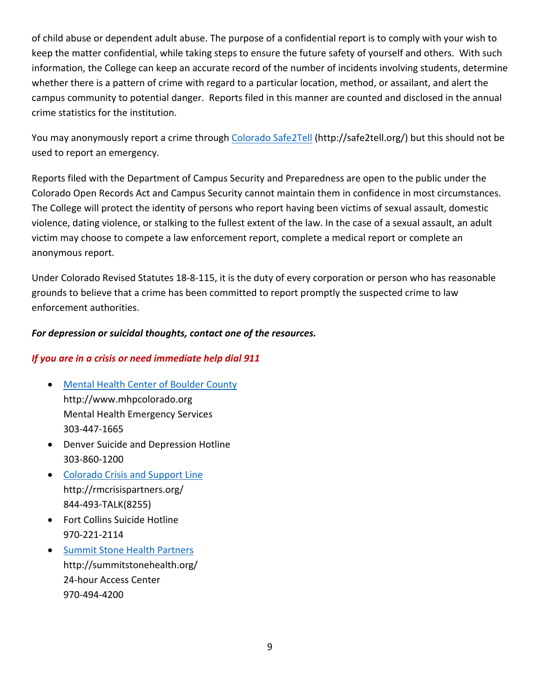of child abuse or dependent adult abuse. The purpose of a confidential report is to comply with your wish to keep the matter confidential, while taking steps to ensure the future safety of yourself and others. With such information, the College can keep an accurate record of the number of incidents involving students, determine whether there is a pattern of crime with regard to a particular location, method, or assailant, and alert the campus community to potential danger. Reports filed in this manner are counted and disclosed in the annual crime statistics for the institution.

You may anonymously report a crime through [Colorado Safe2Tell](http://safe2tell.org/) (http://safe2tell.org/) but this should not be used to report an emergency.

Reports filed with the Department of Campus Security and Preparedness are open to the public under the Colorado Open Records Act and Campus Security cannot maintain them in confidence in most circumstances. The College will protect the identity of persons who report having been victims of sexual assault, domestic violence, dating violence, or stalking to the fullest extent of the law. In the case of a sexual assault, an adult victim may choose to compete a law enforcement report, complete a medical report or complete an anonymous report.

Under Colorado Revised Statutes 18-8-115, it is the duty of every corporation or person who has reasonable grounds to believe that a crime has been committed to report promptly the suspected crime to law enforcement authorities.

#### *For depression or suicidal thoughts, contact one of the resources.*

#### *If you are in a crisis or need immediate help dial 911*

- [Mental Health Center of Boulder County](http://www.mhpcolorado.org/) http://www.mhpcolorado.org Mental Health Emergency Services 303-447-1665
- Denver Suicide and Depression Hotline 303-860-1200
- [Colorado Crisis and Support Line](http://www.metrocrisisservices.org/) http://rmcrisispartners.org/ 844-493-TALK(8255)
- Fort Collins Suicide Hotline 970-221-2114
- [Summit Stone Health Partners](http://summitstonehealth.org/) http://summitstonehealth.org/ 24-hour Access Center 970-494-4200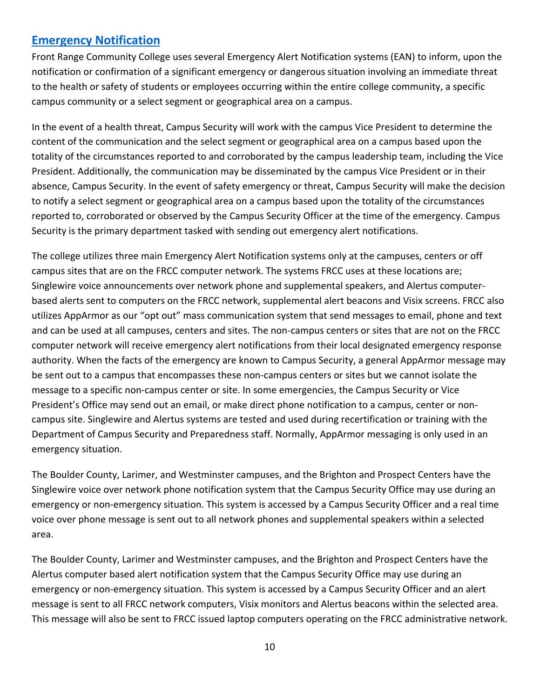## <span id="page-10-0"></span>**[Emergency Notification](#page-1-0)**

Front Range Community College uses several Emergency Alert Notification systems (EAN) to inform, upon the notification or confirmation of a significant emergency or dangerous situation involving an immediate threat to the health or safety of students or employees occurring within the entire college community, a specific campus community or a select segment or geographical area on a campus.

In the event of a health threat, Campus Security will work with the campus Vice President to determine the content of the communication and the select segment or geographical area on a campus based upon the totality of the circumstances reported to and corroborated by the campus leadership team, including the Vice President. Additionally, the communication may be disseminated by the campus Vice President or in their absence, Campus Security. In the event of safety emergency or threat, Campus Security will make the decision to notify a select segment or geographical area on a campus based upon the totality of the circumstances reported to, corroborated or observed by the Campus Security Officer at the time of the emergency. Campus Security is the primary department tasked with sending out emergency alert notifications.

The college utilizes three main Emergency Alert Notification systems only at the campuses, centers or off campus sites that are on the FRCC computer network. The systems FRCC uses at these locations are; Singlewire voice announcements over network phone and supplemental speakers, and Alertus computerbased alerts sent to computers on the FRCC network, supplemental alert beacons and Visix screens. FRCC also utilizes AppArmor as our "opt out" mass communication system that send messages to email, phone and text and can be used at all campuses, centers and sites. The non-campus centers or sites that are not on the FRCC computer network will receive emergency alert notifications from their local designated emergency response authority. When the facts of the emergency are known to Campus Security, a general AppArmor message may be sent out to a campus that encompasses these non-campus centers or sites but we cannot isolate the message to a specific non-campus center or site. In some emergencies, the Campus Security or Vice President's Office may send out an email, or make direct phone notification to a campus, center or noncampus site. Singlewire and Alertus systems are tested and used during recertification or training with the Department of Campus Security and Preparedness staff. Normally, AppArmor messaging is only used in an emergency situation.

The Boulder County, Larimer, and Westminster campuses, and the Brighton and Prospect Centers have the Singlewire voice over network phone notification system that the Campus Security Office may use during an emergency or non-emergency situation. This system is accessed by a Campus Security Officer and a real time voice over phone message is sent out to all network phones and supplemental speakers within a selected area.

The Boulder County, Larimer and Westminster campuses, and the Brighton and Prospect Centers have the Alertus computer based alert notification system that the Campus Security Office may use during an emergency or non-emergency situation. This system is accessed by a Campus Security Officer and an alert message is sent to all FRCC network computers, Visix monitors and Alertus beacons within the selected area. This message will also be sent to FRCC issued laptop computers operating on the FRCC administrative network.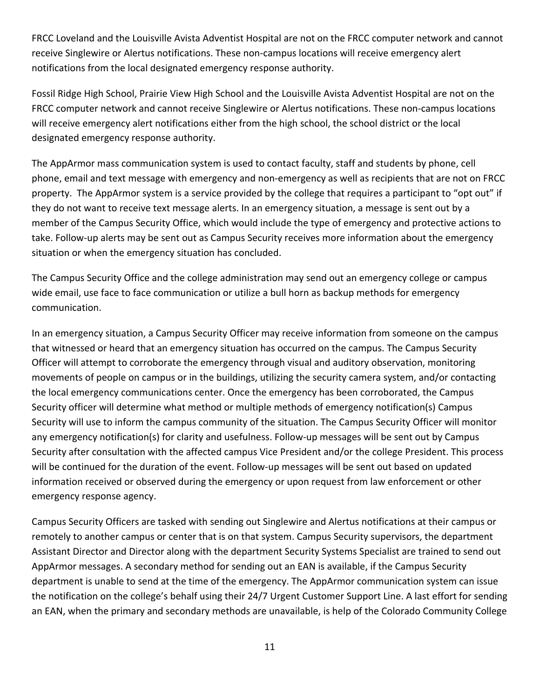FRCC Loveland and the Louisville Avista Adventist Hospital are not on the FRCC computer network and cannot receive Singlewire or Alertus notifications. These non-campus locations will receive emergency alert notifications from the local designated emergency response authority.

Fossil Ridge High School, Prairie View High School and the Louisville Avista Adventist Hospital are not on the FRCC computer network and cannot receive Singlewire or Alertus notifications. These non-campus locations will receive emergency alert notifications either from the high school, the school district or the local designated emergency response authority.

The AppArmor mass communication system is used to contact faculty, staff and students by phone, cell phone, email and text message with emergency and non-emergency as well as recipients that are not on FRCC property. The AppArmor system is a service provided by the college that requires a participant to "opt out" if they do not want to receive text message alerts. In an emergency situation, a message is sent out by a member of the Campus Security Office, which would include the type of emergency and protective actions to take. Follow-up alerts may be sent out as Campus Security receives more information about the emergency situation or when the emergency situation has concluded.

The Campus Security Office and the college administration may send out an emergency college or campus wide email, use face to face communication or utilize a bull horn as backup methods for emergency communication.

In an emergency situation, a Campus Security Officer may receive information from someone on the campus that witnessed or heard that an emergency situation has occurred on the campus. The Campus Security Officer will attempt to corroborate the emergency through visual and auditory observation, monitoring movements of people on campus or in the buildings, utilizing the security camera system, and/or contacting the local emergency communications center. Once the emergency has been corroborated, the Campus Security officer will determine what method or multiple methods of emergency notification(s) Campus Security will use to inform the campus community of the situation. The Campus Security Officer will monitor any emergency notification(s) for clarity and usefulness. Follow-up messages will be sent out by Campus Security after consultation with the affected campus Vice President and/or the college President. This process will be continued for the duration of the event. Follow-up messages will be sent out based on updated information received or observed during the emergency or upon request from law enforcement or other emergency response agency.

Campus Security Officers are tasked with sending out Singlewire and Alertus notifications at their campus or remotely to another campus or center that is on that system. Campus Security supervisors, the department Assistant Director and Director along with the department Security Systems Specialist are trained to send out AppArmor messages. A secondary method for sending out an EAN is available, if the Campus Security department is unable to send at the time of the emergency. The AppArmor communication system can issue the notification on the college's behalf using their 24/7 Urgent Customer Support Line. A last effort for sending an EAN, when the primary and secondary methods are unavailable, is help of the Colorado Community College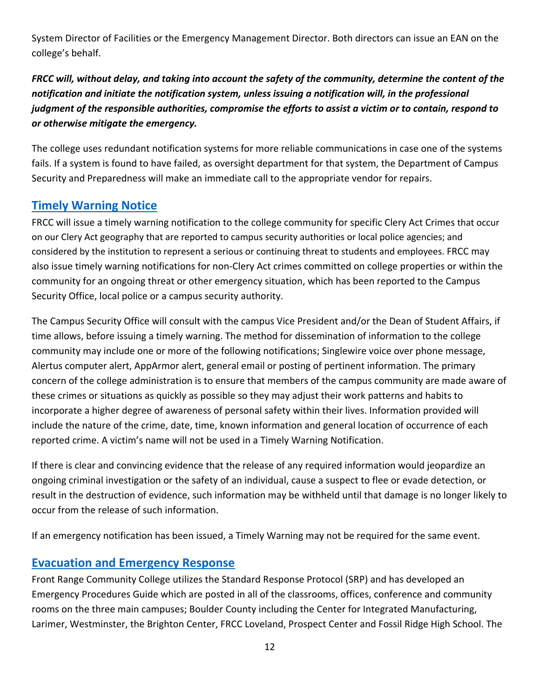System Director of Facilities or the Emergency Management Director. Both directors can issue an EAN on the college's behalf.

*FRCC will, without delay, and taking into account the safety of the community, determine the content of the notification and initiate the notification system, unless issuing a notification will, in the professional judgment of the responsible authorities, compromise the efforts to assist a victim or to contain, respond to or otherwise mitigate the emergency.*

The college uses redundant notification systems for more reliable communications in case one of the systems fails. If a system is found to have failed, as oversight department for that system, the Department of Campus Security and Preparedness will make an immediate call to the appropriate vendor for repairs.

## <span id="page-12-0"></span>**[Timely Warning Notice](#page-12-0)**

FRCC will issue a timely warning notification to the college community for specific Clery Act Crimes that occur on our Clery Act geography that are reported to campus security authorities or local police agencies; and considered by the institution to represent a serious or continuing threat to students and employees. FRCC may also issue timely warning notifications for non-Clery Act crimes committed on college properties or within the community for an ongoing threat or other emergency situation, which has been reported to the Campus Security Office, local police or a campus security authority.

The Campus Security Office will consult with the campus Vice President and/or the Dean of Student Affairs, if time allows, before issuing a timely warning. The method for dissemination of information to the college community may include one or more of the following notifications; Singlewire voice over phone message, Alertus computer alert, AppArmor alert, general email or posting of pertinent information. The primary concern of the college administration is to ensure that members of the campus community are made aware of these crimes or situations as quickly as possible so they may adjust their work patterns and habits to incorporate a higher degree of awareness of personal safety within their lives. Information provided will include the nature of the crime, date, time, known information and general location of occurrence of each reported crime. A victim's name will not be used in a Timely Warning Notification.

If there is clear and convincing evidence that the release of any required information would jeopardize an ongoing criminal investigation or the safety of an individual, cause a suspect to flee or evade detection, or result in the destruction of evidence, such information may be withheld until that damage is no longer likely to occur from the release of such information.

If an emergency notification has been issued, a Timely Warning may not be required for the same event.

## <span id="page-12-1"></span>**[Evacuation and Emergency Response](#page-1-0)**

Front Range Community College utilizes the Standard Response Protocol (SRP) and has developed an Emergency Procedures Guide which are posted in all of the classrooms, offices, conference and community rooms on the three main campuses; Boulder County including the Center for Integrated Manufacturing, Larimer, Westminster, the Brighton Center, FRCC Loveland, Prospect Center and Fossil Ridge High School. The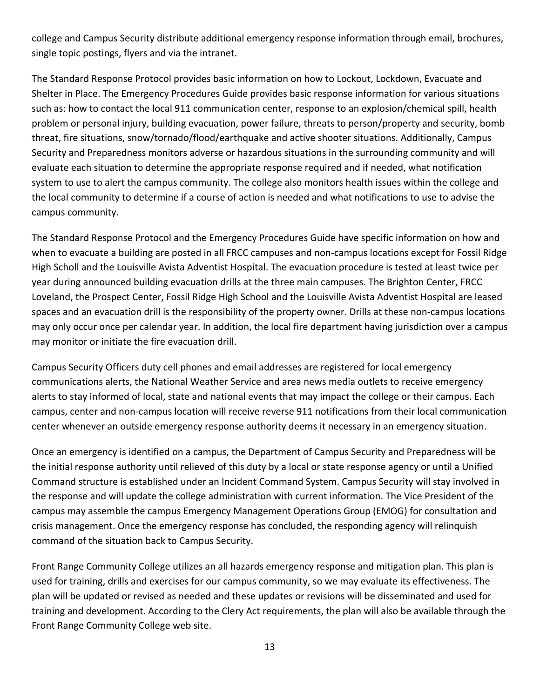college and Campus Security distribute additional emergency response information through email, brochures, single topic postings, flyers and via the intranet.

The Standard Response Protocol provides basic information on how to Lockout, Lockdown, Evacuate and Shelter in Place. The Emergency Procedures Guide provides basic response information for various situations such as: how to contact the local 911 communication center, response to an explosion/chemical spill, health problem or personal injury, building evacuation, power failure, threats to person/property and security, bomb threat, fire situations, snow/tornado/flood/earthquake and active shooter situations. Additionally, Campus Security and Preparedness monitors adverse or hazardous situations in the surrounding community and will evaluate each situation to determine the appropriate response required and if needed, what notification system to use to alert the campus community. The college also monitors health issues within the college and the local community to determine if a course of action is needed and what notifications to use to advise the campus community.

The Standard Response Protocol and the Emergency Procedures Guide have specific information on how and when to evacuate a building are posted in all FRCC campuses and non-campus locations except for Fossil Ridge High Scholl and the Louisville Avista Adventist Hospital. The evacuation procedure is tested at least twice per year during announced building evacuation drills at the three main campuses. The Brighton Center, FRCC Loveland, the Prospect Center, Fossil Ridge High School and the Louisville Avista Adventist Hospital are leased spaces and an evacuation drill is the responsibility of the property owner. Drills at these non-campus locations may only occur once per calendar year. In addition, the local fire department having jurisdiction over a campus may monitor or initiate the fire evacuation drill.

Campus Security Officers duty cell phones and email addresses are registered for local emergency communications alerts, the National Weather Service and area news media outlets to receive emergency alerts to stay informed of local, state and national events that may impact the college or their campus. Each campus, center and non-campus location will receive reverse 911 notifications from their local communication center whenever an outside emergency response authority deems it necessary in an emergency situation.

Once an emergency is identified on a campus, the Department of Campus Security and Preparedness will be the initial response authority until relieved of this duty by a local or state response agency or until a Unified Command structure is established under an Incident Command System. Campus Security will stay involved in the response and will update the college administration with current information. The Vice President of the campus may assemble the campus Emergency Management Operations Group (EMOG) for consultation and crisis management. Once the emergency response has concluded, the responding agency will relinquish command of the situation back to Campus Security.

Front Range Community College utilizes an all hazards emergency response and mitigation plan. This plan is used for training, drills and exercises for our campus community, so we may evaluate its effectiveness. The plan will be updated or revised as needed and these updates or revisions will be disseminated and used for training and development. According to the Clery Act requirements, the plan will also be available through the Front Range Community College web site.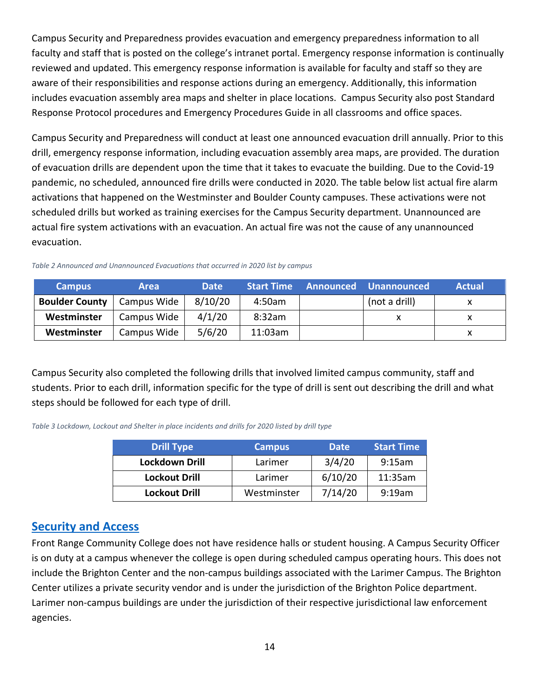Campus Security and Preparedness provides evacuation and emergency preparedness information to all faculty and staff that is posted on the college's intranet portal. Emergency response information is continually reviewed and updated. This emergency response information is available for faculty and staff so they are aware of their responsibilities and response actions during an emergency. Additionally, this information includes evacuation assembly area maps and shelter in place locations. Campus Security also post Standard Response Protocol procedures and Emergency Procedures Guide in all classrooms and office spaces.

Campus Security and Preparedness will conduct at least one announced evacuation drill annually. Prior to this drill, emergency response information, including evacuation assembly area maps, are provided. The duration of evacuation drills are dependent upon the time that it takes to evacuate the building. Due to the Covid-19 pandemic, no scheduled, announced fire drills were conducted in 2020. The table below list actual fire alarm activations that happened on the Westminster and Boulder County campuses. These activations were not scheduled drills but worked as training exercises for the Campus Security department. Unannounced are actual fire system activations with an evacuation. An actual fire was not the cause of any unannounced evacuation.

| <b>Campus</b>         | <b>Area</b> | <b>Date</b> |         | <b>Start Time Announced Unannounced</b> | <b>Actual</b> |
|-----------------------|-------------|-------------|---------|-----------------------------------------|---------------|
| <b>Boulder County</b> | Campus Wide | 8/10/20     | 4:50am  | (not a drill)                           |               |
| Westminster           | Campus Wide | 4/1/20      | 8:32am  |                                         |               |
| Westminster           | Campus Wide | 5/6/20      | 11:03am |                                         |               |

*Table 2 Announced and Unannounced Evacuations that occurred in 2020 list by campus*

Campus Security also completed the following drills that involved limited campus community, staff and students. Prior to each drill, information specific for the type of drill is sent out describing the drill and what steps should be followed for each type of drill.

*Table 3 Lockdown, Lockout and Shelter in place incidents and drills for 2020 listed by drill type*

| <b>Drill Type</b>    | <b>Campus</b> | <b>Date</b> | <b>Start Time</b> |
|----------------------|---------------|-------------|-------------------|
| Lockdown Drill       | Larimer       | 3/4/20      | 9:15am            |
| <b>Lockout Drill</b> | Larimer       | 6/10/20     | 11:35am           |
| <b>Lockout Drill</b> | Westminster   | 7/14/20     | 9:19am            |

### <span id="page-14-0"></span>**[Security and Access](#page-1-0)**

Front Range Community College does not have residence halls or student housing. A Campus Security Officer is on duty at a campus whenever the college is open during scheduled campus operating hours. This does not include the Brighton Center and the non-campus buildings associated with the Larimer Campus. The Brighton Center utilizes a private security vendor and is under the jurisdiction of the Brighton Police department. Larimer non-campus buildings are under the jurisdiction of their respective jurisdictional law enforcement agencies.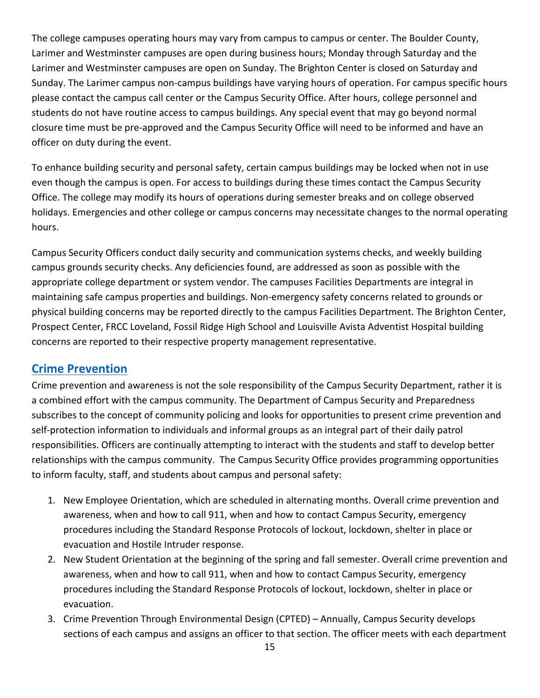The college campuses operating hours may vary from campus to campus or center. The Boulder County, Larimer and Westminster campuses are open during business hours; Monday through Saturday and the Larimer and Westminster campuses are open on Sunday. The Brighton Center is closed on Saturday and Sunday. The Larimer campus non-campus buildings have varying hours of operation. For campus specific hours please contact the campus call center or the Campus Security Office. After hours, college personnel and students do not have routine access to campus buildings. Any special event that may go beyond normal closure time must be pre-approved and the Campus Security Office will need to be informed and have an officer on duty during the event.

To enhance building security and personal safety, certain campus buildings may be locked when not in use even though the campus is open. For access to buildings during these times contact the Campus Security Office. The college may modify its hours of operations during semester breaks and on college observed holidays. Emergencies and other college or campus concerns may necessitate changes to the normal operating hours.

Campus Security Officers conduct daily security and communication systems checks, and weekly building campus grounds security checks. Any deficiencies found, are addressed as soon as possible with the appropriate college department or system vendor. The campuses Facilities Departments are integral in maintaining safe campus properties and buildings. Non-emergency safety concerns related to grounds or physical building concerns may be reported directly to the campus Facilities Department. The Brighton Center, Prospect Center, FRCC Loveland, Fossil Ridge High School and Louisville Avista Adventist Hospital building concerns are reported to their respective property management representative.

#### <span id="page-15-0"></span>**[Crime Prevention](#page-1-0)**

Crime prevention and awareness is not the sole responsibility of the Campus Security Department, rather it is a combined effort with the campus community. The Department of Campus Security and Preparedness subscribes to the concept of community policing and looks for opportunities to present crime prevention and self-protection information to individuals and informal groups as an integral part of their daily patrol responsibilities. Officers are continually attempting to interact with the students and staff to develop better relationships with the campus community. The Campus Security Office provides programming opportunities to inform faculty, staff, and students about campus and personal safety:

- 1. New Employee Orientation, which are scheduled in alternating months. Overall crime prevention and awareness, when and how to call 911, when and how to contact Campus Security, emergency procedures including the Standard Response Protocols of lockout, lockdown, shelter in place or evacuation and Hostile Intruder response.
- 2. New Student Orientation at the beginning of the spring and fall semester. Overall crime prevention and awareness, when and how to call 911, when and how to contact Campus Security, emergency procedures including the Standard Response Protocols of lockout, lockdown, shelter in place or evacuation.
- 3. Crime Prevention Through Environmental Design (CPTED) Annually, Campus Security develops sections of each campus and assigns an officer to that section. The officer meets with each department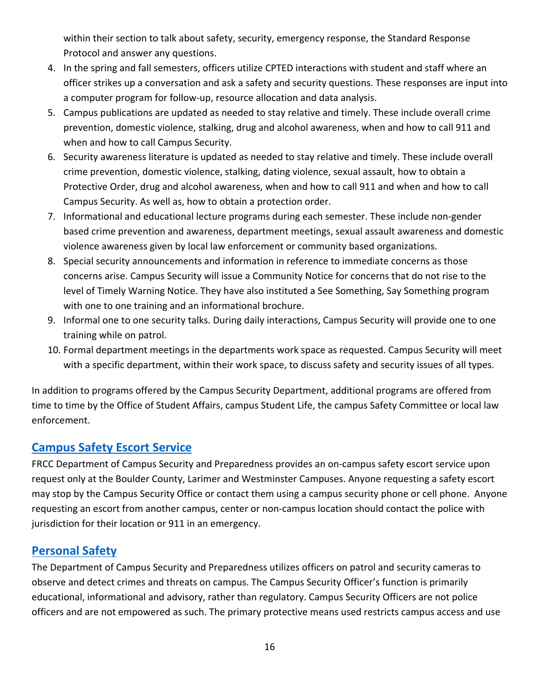within their section to talk about safety, security, emergency response, the Standard Response Protocol and answer any questions.

- 4. In the spring and fall semesters, officers utilize CPTED interactions with student and staff where an officer strikes up a conversation and ask a safety and security questions. These responses are input into a computer program for follow-up, resource allocation and data analysis.
- 5. Campus publications are updated as needed to stay relative and timely. These include overall crime prevention, domestic violence, stalking, drug and alcohol awareness, when and how to call 911 and when and how to call Campus Security.
- 6. Security awareness literature is updated as needed to stay relative and timely. These include overall crime prevention, domestic violence, stalking, dating violence, sexual assault, how to obtain a Protective Order, drug and alcohol awareness, when and how to call 911 and when and how to call Campus Security. As well as, how to obtain a protection order.
- 7. Informational and educational lecture programs during each semester. These include non-gender based crime prevention and awareness, department meetings, sexual assault awareness and domestic violence awareness given by local law enforcement or community based organizations.
- 8. Special security announcements and information in reference to immediate concerns as those concerns arise. Campus Security will issue a Community Notice for concerns that do not rise to the level of Timely Warning Notice. They have also instituted a See Something, Say Something program with one to one training and an informational brochure.
- 9. Informal one to one security talks. During daily interactions, Campus Security will provide one to one training while on patrol.
- 10. Formal department meetings in the departments work space as requested. Campus Security will meet with a specific department, within their work space, to discuss safety and security issues of all types.

In addition to programs offered by the Campus Security Department, additional programs are offered from time to time by the Office of Student Affairs, campus Student Life, the campus Safety Committee or local law enforcement.

## <span id="page-16-0"></span>**[Campus Safety Escort Service](#page-1-0)**

FRCC Department of Campus Security and Preparedness provides an on-campus safety escort service upon request only at the Boulder County, Larimer and Westminster Campuses. Anyone requesting a safety escort may stop by the Campus Security Office or contact them using a campus security phone or cell phone. Anyone requesting an escort from another campus, center or non-campus location should contact the police with jurisdiction for their location or 911 in an emergency.

## <span id="page-16-1"></span>**[Personal Safety](#page-1-0)**

The Department of Campus Security and Preparedness utilizes officers on patrol and security cameras to observe and detect crimes and threats on campus. The Campus Security Officer's function is primarily educational, informational and advisory, rather than regulatory. Campus Security Officers are not police officers and are not empowered as such. The primary protective means used restricts campus access and use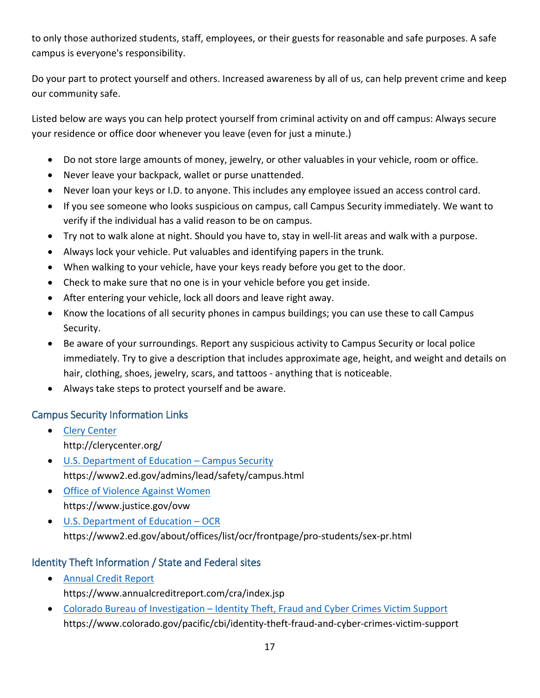to only those authorized students, staff, employees, or their guests for reasonable and safe purposes. A safe campus is everyone's responsibility.

Do your part to protect yourself and others. Increased awareness by all of us, can help prevent crime and keep our community safe.

Listed below are ways you can help protect yourself from criminal activity on and off campus: Always secure your residence or office door whenever you leave (even for just a minute.)

- Do not store large amounts of money, jewelry, or other valuables in your vehicle, room or office.
- Never leave your backpack, wallet or purse unattended.
- Never loan your keys or I.D. to anyone. This includes any employee issued an access control card.
- If you see someone who looks suspicious on campus, call Campus Security immediately. We want to verify if the individual has a valid reason to be on campus.
- Try not to walk alone at night. Should you have to, stay in well-lit areas and walk with a purpose.
- Always lock your vehicle. Put valuables and identifying papers in the trunk.
- When walking to your vehicle, have your keys ready before you get to the door.
- Check to make sure that no one is in your vehicle before you get inside.
- After entering your vehicle, lock all doors and leave right away.
- Know the locations of all security phones in campus buildings; you can use these to call Campus Security.
- Be aware of your surroundings. Report any suspicious activity to Campus Security or local police immediately. Try to give a description that includes approximate age, height, and weight and details on hair, clothing, shoes, jewelry, scars, and tattoos - anything that is noticeable.
- Always take steps to protect yourself and be aware.

## <span id="page-17-0"></span>Campus Security Information Links

- [Clery Center](http://clerycenter.org/) http://clerycenter.org/
- [U.S. Department of Education –](https://www2.ed.gov/admins/lead/safety/campus.html) Campus Security https://www2.ed.gov/admins/lead/safety/campus.html
- [Office of Violence Against Women](https://www.justice.gov/ovw) https://www.justice.gov/ovw
- [U.S. Department of Education –](https://www2.ed.gov/about/offices/list/ocr/frontpage/pro-students/sex-pr.html) OCR https://www2.ed.gov/about/offices/list/ocr/frontpage/pro-students/sex-pr.html

## <span id="page-17-1"></span>Identity Theft Information / State and Federal sites

- [Annual Credit Report](https://www.annualcreditreport.com/cra/index.jsp) https://www.annualcreditreport.com/cra/index.jsp
- Colorado Bureau of Investigation [Identity Theft, Fraud and Cyber Crimes Victim Support](https://www.colorado.gov/pacific/cbi/identity-theft-fraud-and-cyber-crimes-victim-support) https://www.colorado.gov/pacific/cbi/identity-theft-fraud-and-cyber-crimes-victim-support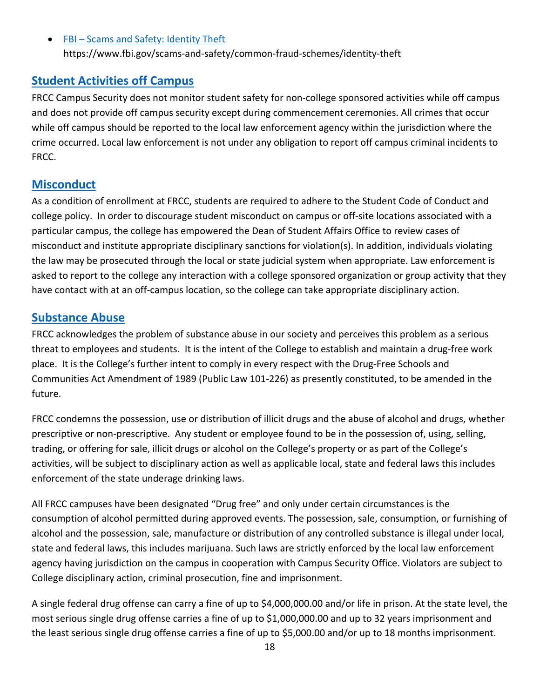**FBI** – [Scams and Safety: Identity Theft](https://www.fbi.gov/scams-and-safety/common-fraud-schemes/identity-theft) https://www.fbi.gov/scams-and-safety/common-fraud-schemes/identity-theft

## <span id="page-18-0"></span>**[Student Activities off Campus](#page-1-0)**

FRCC Campus Security does not monitor student safety for non-college sponsored activities while off campus and does not provide off campus security except during commencement ceremonies. All crimes that occur while off campus should be reported to the local law enforcement agency within the jurisdiction where the crime occurred. Local law enforcement is not under any obligation to report off campus criminal incidents to FRCC.

## <span id="page-18-1"></span>**[Misconduct](#page-1-0)**

As a condition of enrollment at FRCC, students are required to adhere to the Student Code of Conduct and college policy. In order to discourage student misconduct on campus or off-site locations associated with a particular campus, the college has empowered the Dean of Student Affairs Office to review cases of misconduct and institute appropriate disciplinary sanctions for violation(s). In addition, individuals violating the law may be prosecuted through the local or state judicial system when appropriate. Law enforcement is asked to report to the college any interaction with a college sponsored organization or group activity that they have contact with at an off-campus location, so the college can take appropriate disciplinary action.

## <span id="page-18-2"></span>**[Substance Abuse](#page-1-0)**

FRCC acknowledges the problem of substance abuse in our society and perceives this problem as a serious threat to employees and students. It is the intent of the College to establish and maintain a drug-free work place. It is the College's further intent to comply in every respect with the Drug-Free Schools and Communities Act Amendment of 1989 (Public Law 101-226) as presently constituted, to be amended in the future.

FRCC condemns the possession, use or distribution of illicit drugs and the abuse of alcohol and drugs, whether prescriptive or non-prescriptive. Any student or employee found to be in the possession of, using, selling, trading, or offering for sale, illicit drugs or alcohol on the College's property or as part of the College's activities, will be subject to disciplinary action as well as applicable local, state and federal laws this includes enforcement of the state underage drinking laws.

All FRCC campuses have been designated "Drug free" and only under certain circumstances is the consumption of alcohol permitted during approved events. The possession, sale, consumption, or furnishing of alcohol and the possession, sale, manufacture or distribution of any controlled substance is illegal under local, state and federal laws, this includes marijuana. Such laws are strictly enforced by the local law enforcement agency having jurisdiction on the campus in cooperation with Campus Security Office. Violators are subject to College disciplinary action, criminal prosecution, fine and imprisonment.

A single federal drug offense can carry a fine of up to \$4,000,000.00 and/or life in prison. At the state level, the most serious single drug offense carries a fine of up to \$1,000,000.00 and up to 32 years imprisonment and the least serious single drug offense carries a fine of up to \$5,000.00 and/or up to 18 months imprisonment.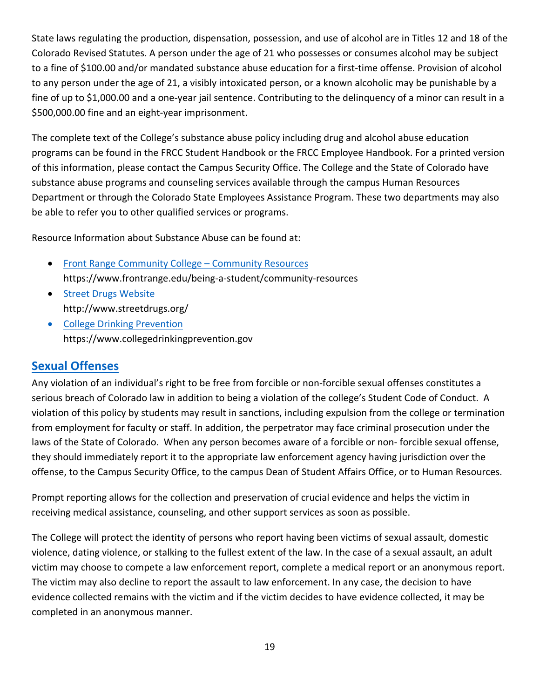State laws regulating the production, dispensation, possession, and use of alcohol are in Titles 12 and 18 of the Colorado Revised Statutes. A person under the age of 21 who possesses or consumes alcohol may be subject to a fine of \$100.00 and/or mandated substance abuse education for a first-time offense. Provision of alcohol to any person under the age of 21, a visibly intoxicated person, or a known alcoholic may be punishable by a fine of up to \$1,000.00 and a one-year jail sentence. Contributing to the delinquency of a minor can result in a \$500,000.00 fine and an eight-year imprisonment.

The complete text of the College's substance abuse policy including drug and alcohol abuse education programs can be found in the FRCC Student Handbook or the FRCC Employee Handbook. For a printed version of this information, please contact the Campus Security Office. The College and the State of Colorado have substance abuse programs and counseling services available through the campus Human Resources Department or through the Colorado State Employees Assistance Program. These two departments may also be able to refer you to other qualified services or programs.

Resource Information about Substance Abuse can be found at:

- [Front Range Community College –](https://www.frontrange.edu/being-a-student/community-resources) Community Resources <https://www.frontrange.edu/being-a-student/community-resources>
- [Street Drugs Website](http://www.streetdrugs.org/) http://www.streetdrugs.org/
- [College Drinking Prevention](https://www.collegedrinkingprevention.gov/) https://www.collegedrinkingprevention.gov

## <span id="page-19-0"></span>**[Sexual Offenses](#page-1-0)**

Any violation of an individual's right to be free from forcible or non-forcible sexual offenses constitutes a serious breach of Colorado law in addition to being a violation of the college's Student Code of Conduct. A violation of this policy by students may result in sanctions, including expulsion from the college or termination from employment for faculty or staff. In addition, the perpetrator may face criminal prosecution under the laws of the State of Colorado. When any person becomes aware of a forcible or non- forcible sexual offense, they should immediately report it to the appropriate law enforcement agency having jurisdiction over the offense, to the Campus Security Office, to the campus Dean of Student Affairs Office, or to Human Resources.

Prompt reporting allows for the collection and preservation of crucial evidence and helps the victim in receiving medical assistance, counseling, and other support services as soon as possible.

The College will protect the identity of persons who report having been victims of sexual assault, domestic violence, dating violence, or stalking to the fullest extent of the law. In the case of a sexual assault, an adult victim may choose to compete a law enforcement report, complete a medical report or an anonymous report. The victim may also decline to report the assault to law enforcement. In any case, the decision to have evidence collected remains with the victim and if the victim decides to have evidence collected, it may be completed in an anonymous manner.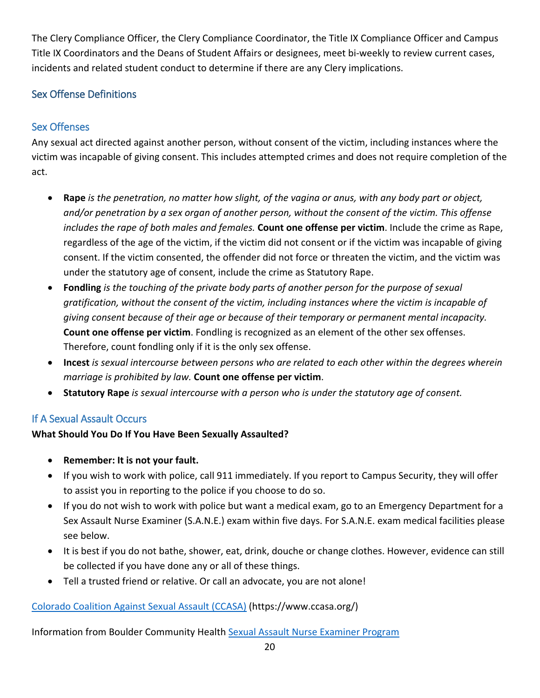The Clery Compliance Officer, the Clery Compliance Coordinator, the Title IX Compliance Officer and Campus Title IX Coordinators and the Deans of Student Affairs or designees, meet bi-weekly to review current cases, incidents and related student conduct to determine if there are any Clery implications.

## <span id="page-20-0"></span>Sex Offense Definitions

## Sex Offenses

Any sexual act directed against another person, without consent of the victim, including instances where the victim was incapable of giving consent. This includes attempted crimes and does not require completion of the act.

- **Rape** *is the penetration, no matter how slight, of the vagina or anus, with any body part or object, and/or penetration by a sex organ of another person, without the consent of the victim. This offense includes the rape of both males and females.* **Count one offense per victim**. Include the crime as Rape, regardless of the age of the victim, if the victim did not consent or if the victim was incapable of giving consent. If the victim consented, the offender did not force or threaten the victim, and the victim was under the statutory age of consent, include the crime as Statutory Rape.
- **Fondling** *is the touching of the private body parts of another person for the purpose of sexual gratification, without the consent of the victim, including instances where the victim is incapable of giving consent because of their age or because of their temporary or permanent mental incapacity.* **Count one offense per victim**. Fondling is recognized as an element of the other sex offenses. Therefore, count fondling only if it is the only sex offense.
- **Incest** *is sexual intercourse between persons who are related to each other within the degrees wherein marriage is prohibited by law.* **Count one offense per victim**.
- **Statutory Rape** *is sexual intercourse with a person who is under the statutory age of consent.*

## If A Sexual Assault Occurs

#### **What Should You Do If You Have Been Sexually Assaulted?**

- **Remember: It is not your fault.**
- If you wish to work with police, call 911 immediately. If you report to Campus Security, they will offer to assist you in reporting to the police if you choose to do so.
- If you do not wish to work with police but want a medical exam, go to an Emergency Department for a Sex Assault Nurse Examiner (S.A.N.E.) exam within five days. For S.A.N.E. exam medical facilities please see below.
- It is best if you do not bathe, shower, eat, drink, douche or change clothes. However, evidence can still be collected if you have done any or all of these things.
- Tell a trusted friend or relative. Or call an advocate, you are not alone!

[Colorado Coalition Against Sexual Assault \(CCASA\)](https://www.ccasa.org/) (https://www.ccasa.org/)

Information from Boulder Community Health [Sexual Assault Nurse Examiner Program](https://www.bch.org/Our-Services/Emergency-Trauma-Services/Sexual-Assault-Nurse-Examiners.aspx)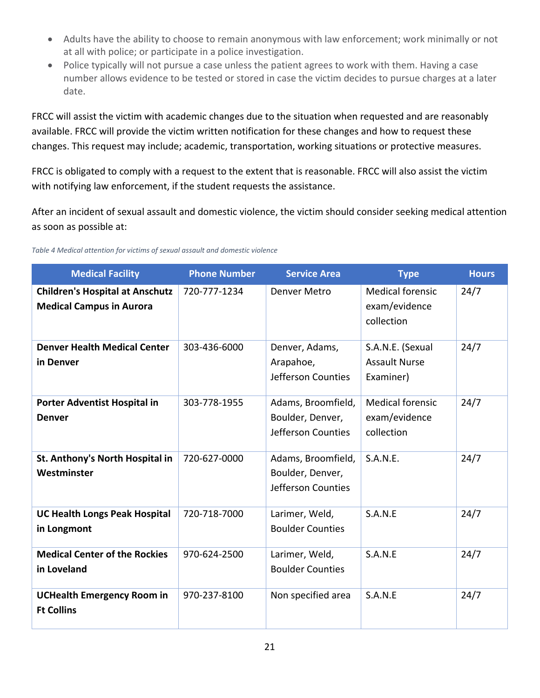- Adults have the ability to choose to remain anonymous with law enforcement; work minimally or not at all with police; or participate in a police investigation.
- Police typically will not pursue a case unless the patient agrees to work with them. Having a case number allows evidence to be tested or stored in case the victim decides to pursue charges at a later date.

FRCC will assist the victim with academic changes due to the situation when requested and are reasonably available. FRCC will provide the victim written notification for these changes and how to request these changes. This request may include; academic, transportation, working situations or protective measures.

FRCC is obligated to comply with a request to the extent that is reasonable. FRCC will also assist the victim with notifying law enforcement, if the student requests the assistance.

After an incident of sexual assault and domestic violence, the victim should consider seeking medical attention as soon as possible at:

| <b>Medical Facility</b>                                                   | <b>Phone Number</b> | <b>Service Area</b>                                          | <b>Type</b>                                            | <b>Hours</b> |
|---------------------------------------------------------------------------|---------------------|--------------------------------------------------------------|--------------------------------------------------------|--------------|
| <b>Children's Hospital at Anschutz</b><br><b>Medical Campus in Aurora</b> | 720-777-1234        | Denver Metro                                                 | <b>Medical forensic</b><br>exam/evidence<br>collection | 24/7         |
| <b>Denver Health Medical Center</b><br>in Denver                          | 303-436-6000        | Denver, Adams,<br>Arapahoe,<br>Jefferson Counties            | S.A.N.E. (Sexual<br><b>Assault Nurse</b><br>Examiner)  | 24/7         |
| <b>Porter Adventist Hospital in</b><br><b>Denver</b>                      | 303-778-1955        | Adams, Broomfield,<br>Boulder, Denver,<br>Jefferson Counties | <b>Medical forensic</b><br>exam/evidence<br>collection | 24/7         |
| St. Anthony's North Hospital in<br>Westminster                            | 720-627-0000        | Adams, Broomfield,<br>Boulder, Denver,<br>Jefferson Counties | S.A.N.E.                                               | 24/7         |
| <b>UC Health Longs Peak Hospital</b><br>in Longmont                       | 720-718-7000        | Larimer, Weld,<br><b>Boulder Counties</b>                    | S.A.N.E                                                | 24/7         |
| <b>Medical Center of the Rockies</b><br>in Loveland                       | 970-624-2500        | Larimer, Weld,<br><b>Boulder Counties</b>                    | S.A.N.E                                                | 24/7         |
| <b>UCHealth Emergency Room in</b><br><b>Ft Collins</b>                    | 970-237-8100        | Non specified area                                           | S.A.N.E                                                | 24/7         |

*Table 4 Medical attention for victims of sexual assault and domestic violence*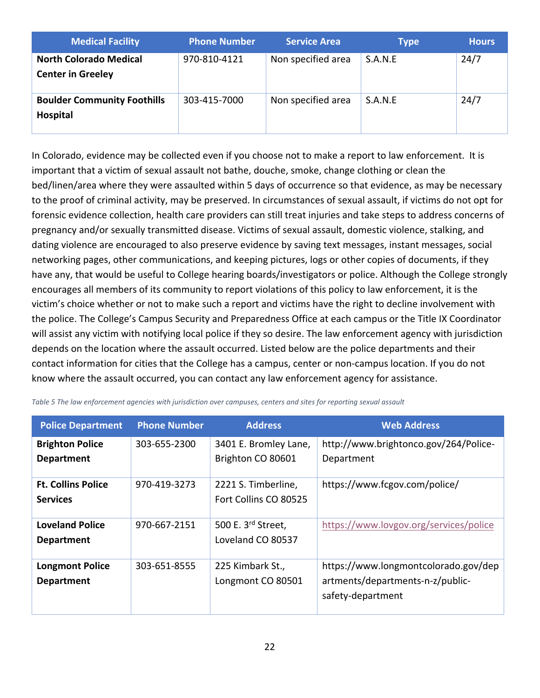| <b>Medical Facility</b>                                   | <b>Phone Number</b> | <b>Service Area</b> | <b>Type</b> | <b>Hours</b> |
|-----------------------------------------------------------|---------------------|---------------------|-------------|--------------|
| <b>North Colorado Medical</b><br><b>Center in Greeley</b> | 970-810-4121        | Non specified area  | S.A.N.E     | 24/7         |
| <b>Boulder Community Foothills</b><br><b>Hospital</b>     | 303-415-7000        | Non specified area  | S.A.N.E     | 24/7         |

In Colorado, evidence may be collected even if you choose not to make a report to law enforcement. It is important that a victim of sexual assault not bathe, douche, smoke, change clothing or clean the bed/linen/area where they were assaulted within 5 days of occurrence so that evidence, as may be necessary to the proof of criminal activity, may be preserved. In circumstances of sexual assault, if victims do not opt for forensic evidence collection, health care providers can still treat injuries and take steps to address concerns of pregnancy and/or sexually transmitted disease. Victims of sexual assault, domestic violence, stalking, and dating violence are encouraged to also preserve evidence by saving text messages, instant messages, social networking pages, other communications, and keeping pictures, logs or other copies of documents, if they have any, that would be useful to College hearing boards/investigators or police. Although the College strongly encourages all members of its community to report violations of this policy to law enforcement, it is the victim's choice whether or not to make such a report and victims have the right to decline involvement with the police. The College's Campus Security and Preparedness Office at each campus or the Title IX Coordinator will assist any victim with notifying local police if they so desire. The law enforcement agency with jurisdiction depends on the location where the assault occurred. Listed below are the police departments and their contact information for cities that the College has a campus, center or non-campus location. If you do not know where the assault occurred, you can contact any law enforcement agency for assistance.

| <b>Police Department</b>                     | <b>Phone Number</b> | <b>Address</b>                                      | <b>Web Address</b>                                                                            |
|----------------------------------------------|---------------------|-----------------------------------------------------|-----------------------------------------------------------------------------------------------|
| <b>Brighton Police</b><br><b>Department</b>  | 303-655-2300        | 3401 E. Bromley Lane,<br>Brighton CO 80601          | http://www.brightonco.gov/264/Police-<br>Department                                           |
| <b>Ft. Collins Police</b><br><b>Services</b> | 970-419-3273        | 2221 S. Timberline,<br>Fort Collins CO 80525        | https://www.fcgov.com/police/                                                                 |
| <b>Loveland Police</b><br><b>Department</b>  | 970-667-2151        | 500 E. 3 <sup>rd</sup> Street,<br>Loveland CO 80537 | https://www.lovgov.org/services/police                                                        |
| <b>Longmont Police</b><br><b>Department</b>  | 303-651-8555        | 225 Kimbark St.,<br>Longmont CO 80501               | https://www.longmontcolorado.gov/dep<br>artments/departments-n-z/public-<br>safety-department |

*Table 5 The law enforcement agencies with jurisdiction over campuses, centers and sites for reporting sexual assault*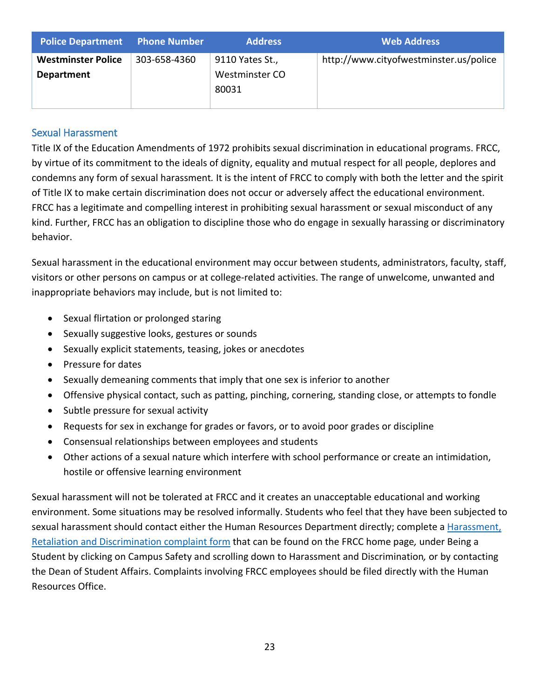| <b>Police Department</b> Phone Number |              | <b>Address</b>  | <b>Web Address</b>                     |
|---------------------------------------|--------------|-----------------|----------------------------------------|
| <b>Westminster Police</b>             | 303-658-4360 | 9110 Yates St., | http://www.cityofwestminster.us/police |
| <b>Department</b>                     |              | Westminster CO  |                                        |
|                                       |              | 80031           |                                        |
|                                       |              |                 |                                        |

#### Sexual Harassment

Title IX of the Education Amendments of 1972 prohibits sexual discrimination in educational programs. FRCC, by virtue of its commitment to the ideals of dignity, equality and mutual respect for all people, deplores and condemns any form of sexual harassment*.* It is the intent of FRCC to comply with both the letter and the spirit of Title IX to make certain discrimination does not occur or adversely affect the educational environment. FRCC has a legitimate and compelling interest in prohibiting sexual harassment or sexual misconduct of any kind. Further, FRCC has an obligation to discipline those who do engage in sexually harassing or discriminatory behavior.

Sexual harassment in the educational environment may occur between students, administrators, faculty, staff, visitors or other persons on campus or at college-related activities. The range of unwelcome, unwanted and inappropriate behaviors may include, but is not limited to:

- Sexual flirtation or prolonged staring
- Sexually suggestive looks, gestures or sounds
- Sexually explicit statements, teasing, jokes or anecdotes
- Pressure for dates
- Sexually demeaning comments that imply that one sex is inferior to another
- Offensive physical contact, such as patting, pinching, cornering, standing close, or attempts to fondle
- Subtle pressure for sexual activity
- Requests for sex in exchange for grades or favors, or to avoid poor grades or discipline
- Consensual relationships between employees and students
- Other actions of a sexual nature which interfere with school performance or create an intimidation, hostile or offensive learning environment

Sexual harassment will not be tolerated at FRCC and it creates an unacceptable educational and working environment. Some situations may be resolved informally. Students who feel that they have been subjected to sexual harassment should contact either the Human Resources Department directly; complete a Harassment, [Retaliation and Discrimination complaint form](https://www.frontrange.edu/being-a-student/campus-safety/report-a-concern-or-incident) that can be found on the FRCC home page*,* under Being a Student by clicking on Campus Safety and scrolling down to Harassment and Discrimination*,* or by contacting the Dean of Student Affairs. Complaints involving FRCC employees should be filed directly with the Human Resources Office.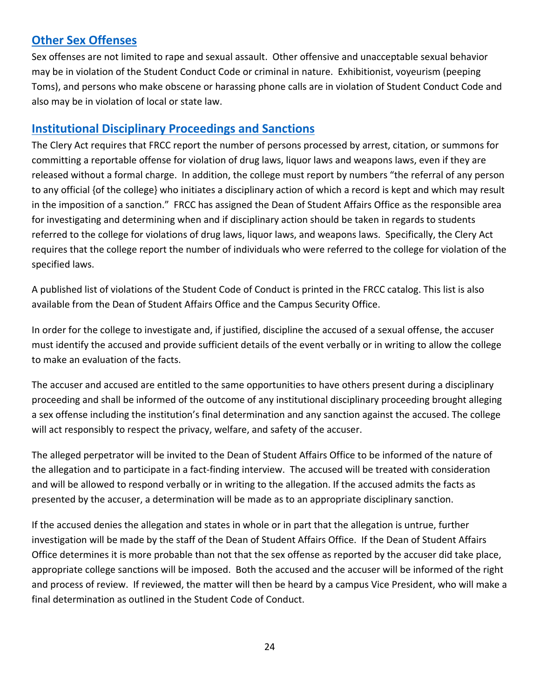## <span id="page-24-0"></span>**[Other Sex Offenses](#page-1-0)**

Sex offenses are not limited to rape and sexual assault. Other offensive and unacceptable sexual behavior may be in violation of the Student Conduct Code or criminal in nature. Exhibitionist, voyeurism (peeping Toms), and persons who make obscene or harassing phone calls are in violation of Student Conduct Code and also may be in violation of local or state law.

## <span id="page-24-1"></span>**[Institutional Disciplinary Proceedings and Sanctions](#page-24-1)**

The Clery Act requires that FRCC report the number of persons processed by arrest, citation, or summons for committing a reportable offense for violation of drug laws, liquor laws and weapons laws, even if they are released without a formal charge. In addition, the college must report by numbers "the referral of any person to any official {of the college} who initiates a disciplinary action of which a record is kept and which may result in the imposition of a sanction." FRCC has assigned the Dean of Student Affairs Office as the responsible area for investigating and determining when and if disciplinary action should be taken in regards to students referred to the college for violations of drug laws, liquor laws, and weapons laws. Specifically, the Clery Act requires that the college report the number of individuals who were referred to the college for violation of the specified laws.

A published list of violations of the Student Code of Conduct is printed in the FRCC catalog. This list is also available from the Dean of Student Affairs Office and the Campus Security Office.

In order for the college to investigate and, if justified, discipline the accused of a sexual offense, the accuser must identify the accused and provide sufficient details of the event verbally or in writing to allow the college to make an evaluation of the facts.

The accuser and accused are entitled to the same opportunities to have others present during a disciplinary proceeding and shall be informed of the outcome of any institutional disciplinary proceeding brought alleging a sex offense including the institution's final determination and any sanction against the accused. The college will act responsibly to respect the privacy, welfare, and safety of the accuser.

The alleged perpetrator will be invited to the Dean of Student Affairs Office to be informed of the nature of the allegation and to participate in a fact-finding interview. The accused will be treated with consideration and will be allowed to respond verbally or in writing to the allegation. If the accused admits the facts as presented by the accuser, a determination will be made as to an appropriate disciplinary sanction.

If the accused denies the allegation and states in whole or in part that the allegation is untrue, further investigation will be made by the staff of the Dean of Student Affairs Office. If the Dean of Student Affairs Office determines it is more probable than not that the sex offense as reported by the accuser did take place, appropriate college sanctions will be imposed. Both the accused and the accuser will be informed of the right and process of review. If reviewed, the matter will then be heard by a campus Vice President, who will make a final determination as outlined in the Student Code of Conduct.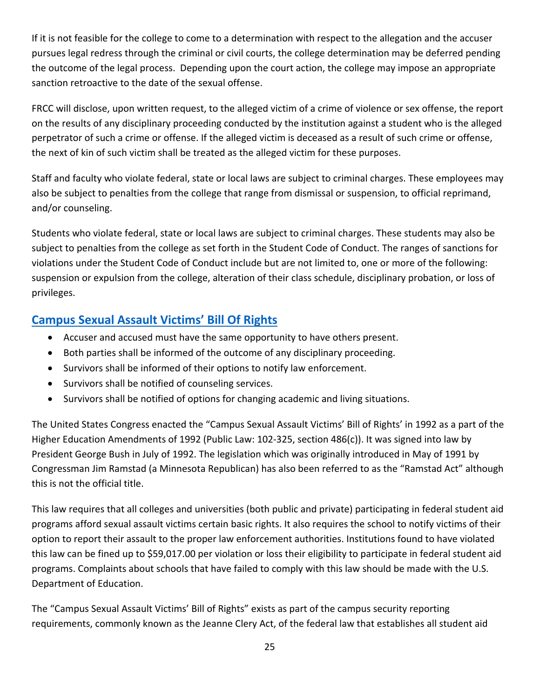If it is not feasible for the college to come to a determination with respect to the allegation and the accuser pursues legal redress through the criminal or civil courts, the college determination may be deferred pending the outcome of the legal process. Depending upon the court action, the college may impose an appropriate sanction retroactive to the date of the sexual offense.

FRCC will disclose, upon written request, to the alleged victim of a crime of violence or sex offense, the report on the results of any disciplinary proceeding conducted by the institution against a student who is the alleged perpetrator of such a crime or offense. If the alleged victim is deceased as a result of such crime or offense, the next of kin of such victim shall be treated as the alleged victim for these purposes.

Staff and faculty who violate federal, state or local laws are subject to criminal charges. These employees may also be subject to penalties from the college that range from dismissal or suspension, to official reprimand, and/or counseling.

Students who violate federal, state or local laws are subject to criminal charges. These students may also be subject to penalties from the college as set forth in the Student Code of Conduct. The ranges of sanctions for violations under the Student Code of Conduct include but are not limited to, one or more of the following: suspension or expulsion from the college, alteration of their class schedule, disciplinary probation, or loss of privileges.

## <span id="page-25-0"></span>**[Campus Sexual Assault Victims' Bill Of Rights](#page-1-0)**

- Accuser and accused must have the same opportunity to have others present.
- Both parties shall be informed of the outcome of any disciplinary proceeding.
- Survivors shall be informed of their options to notify law enforcement.
- Survivors shall be notified of counseling services.
- Survivors shall be notified of options for changing academic and living situations.

The United States Congress enacted the "Campus Sexual Assault Victims' Bill of Rights' in 1992 as a part of the Higher Education Amendments of 1992 (Public Law: 102-325, section 486(c)). It was signed into law by President George Bush in July of 1992. The legislation which was originally introduced in May of 1991 by Congressman Jim Ramstad (a Minnesota Republican) has also been referred to as the "Ramstad Act" although this is not the official title.

This law requires that all colleges and universities (both public and private) participating in federal student aid programs afford sexual assault victims certain basic rights. It also requires the school to notify victims of their option to report their assault to the proper law enforcement authorities. Institutions found to have violated this law can be fined up to \$59,017.00 per violation or loss their eligibility to participate in federal student aid programs. Complaints about schools that have failed to comply with this law should be made with the U.S. Department of Education.

The "Campus Sexual Assault Victims' Bill of Rights" exists as part of the campus security reporting requirements, commonly known as the Jeanne Clery Act, of the federal law that establishes all student aid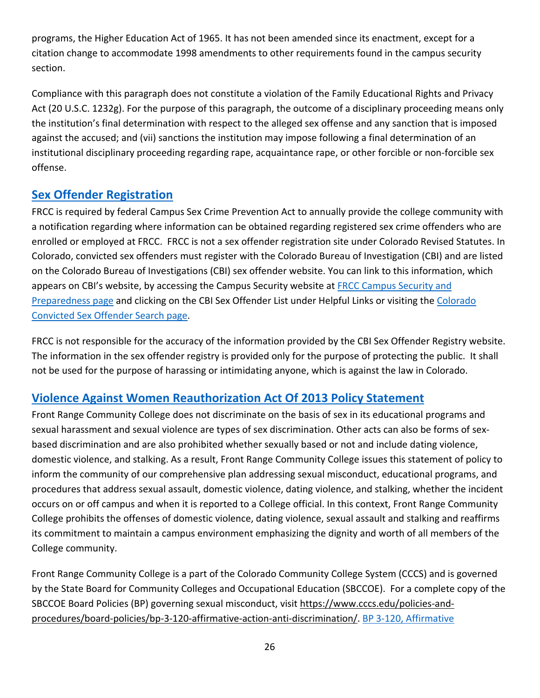programs, the Higher Education Act of 1965. It has not been amended since its enactment, except for a citation change to accommodate 1998 amendments to other requirements found in the campus security section.

Compliance with this paragraph does not constitute a violation of the Family Educational Rights and Privacy Act (20 U.S.C. 1232g). For the purpose of this paragraph, the outcome of a disciplinary proceeding means only the institution's final determination with respect to the alleged sex offense and any sanction that is imposed against the accused; and (vii) sanctions the institution may impose following a final determination of an institutional disciplinary proceeding regarding rape, acquaintance rape, or other forcible or non-forcible sex offense.

## <span id="page-26-0"></span>**[Sex Offender Registration](#page-1-0)**

FRCC is required by federal Campus Sex Crime Prevention Act to annually provide the college community with a notification regarding where information can be obtained regarding registered sex crime offenders who are enrolled or employed at FRCC. FRCC is not a sex offender registration site under Colorado Revised Statutes. In Colorado, convicted sex offenders must register with the Colorado Bureau of Investigation (CBI) and are listed on the Colorado Bureau of Investigations (CBI) sex offender website. You can link to this information, which appears on CBI's website, by accessing the Campus Security website at **FRCC Campus Security and** [Preparedness](http://www.frontrange.edu/About-Us/Campus-Safety/Campus-Security.aspx) page and clicking on the CBI Sex Offender List under Helpful Links or visiting the [Colorado](https://apps.colorado.gov/apps/dps/sor/)  [Convicted Sex Offender Search page.](https://apps.colorado.gov/apps/dps/sor/)

FRCC is not responsible for the accuracy of the information provided by the CBI Sex Offender Registry website. The information in the sex offender registry is provided only for the purpose of protecting the public. It shall not be used for the purpose of harassing or intimidating anyone, which is against the law in Colorado.

## <span id="page-26-1"></span>**[Violence Against Women Reauthorization Act Of 2013 Policy Statement](#page-1-0)**

Front Range Community College does not discriminate on the basis of sex in its educational programs and sexual harassment and sexual violence are types of sex discrimination. Other acts can also be forms of sexbased discrimination and are also prohibited whether sexually based or not and include dating violence, domestic violence, and stalking. As a result, Front Range Community College issues this statement of policy to inform the community of our comprehensive plan addressing sexual misconduct, educational programs, and procedures that address sexual assault, domestic violence, dating violence, and stalking, whether the incident occurs on or off campus and when it is reported to a College official. In this context, Front Range Community College prohibits the offenses of domestic violence, dating violence, sexual assault and stalking and reaffirms its commitment to maintain a campus environment emphasizing the dignity and worth of all members of the College community.

Front Range Community College is a part of the Colorado Community College System (CCCS) and is governed by the State Board for Community Colleges and Occupational Education (SBCCOE). For a complete copy of the SBCCOE Board Policies (BP) governing sexual misconduct, visit https://www.cccs.edu/policies-andprocedures/board-policies/bp-3-120-affirmative-action-anti-discrimination/. [BP 3-120, Affirmative](https://www.cccs.edu/policies-and-procedures/board-policies/bp-3-120-affirmative-action-anti-discrimination/)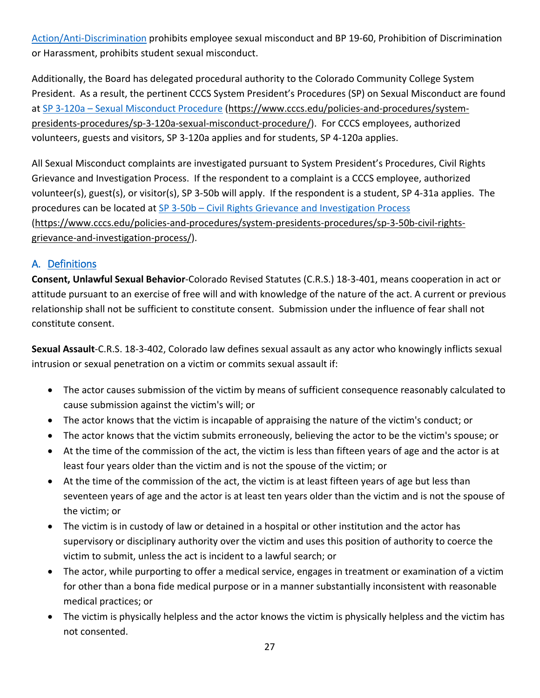[Action/Anti-Discrimination](https://www.cccs.edu/policies-and-procedures/board-policies/bp-3-120-affirmative-action-anti-discrimination/) prohibits employee sexual misconduct and BP 19-60, Prohibition of Discrimination or Harassment, prohibits student sexual misconduct.

Additionally, the Board has delegated procedural authority to the Colorado Community College System President. As a result, the pertinent CCCS System President's Procedures (SP) on Sexual Misconduct are found at SP 3-120a – [Sexual Misconduct Procedure](https://www.cccs.edu/policies-and-procedures/system-presidents-procedures/sp-3-120a-sexual-misconduct-procedure/) (https://www.cccs.edu/policies-and-procedures/systempresidents-procedures/sp-3-120a-sexual-misconduct-procedure/). For CCCS employees, authorized volunteers, guests and visitors, SP 3-120a applies and for students, SP 4-120a applies.

All Sexual Misconduct complaints are investigated pursuant to System President's Procedures, Civil Rights Grievance and Investigation Process. If the respondent to a complaint is a CCCS employee, authorized volunteer(s), guest(s), or visitor(s), SP 3-50b will apply. If the respondent is a student, SP 4-31a applies. The procedures can be located at SP 3-50b – [Civil Rights Grievance and Investigation Process](https://www.cccs.edu/policies-and-procedures/system-presidents-procedures/sp-3-50b-civil-rights-grievance-and-investigation-process/) (https://www.cccs.edu/policies-and-procedures/system-presidents-procedures/sp-3-50b-civil-rightsgrievance-and-investigation-process/).

#### <span id="page-27-0"></span>A. [Definitions](#page-1-0)

**Consent, Unlawful Sexual Behavior**-Colorado Revised Statutes (C.R.S.) 18-3-401, means cooperation in act or attitude pursuant to an exercise of free will and with knowledge of the nature of the act. A current or previous relationship shall not be sufficient to constitute consent. Submission under the influence of fear shall not constitute consent.

**Sexual Assault**-C.R.S. 18-3-402, Colorado law defines sexual assault as any actor who knowingly inflicts sexual intrusion or sexual penetration on a victim or commits sexual assault if:

- The actor causes submission of the victim by means of sufficient consequence reasonably calculated to cause submission against the victim's will; or
- The actor knows that the victim is incapable of appraising the nature of the victim's conduct; or
- The actor knows that the victim submits erroneously, believing the actor to be the victim's spouse; or
- At the time of the commission of the act, the victim is less than fifteen years of age and the actor is at least four years older than the victim and is not the spouse of the victim; or
- At the time of the commission of the act, the victim is at least fifteen years of age but less than seventeen years of age and the actor is at least ten years older than the victim and is not the spouse of the victim; or
- The victim is in custody of law or detained in a hospital or other institution and the actor has supervisory or disciplinary authority over the victim and uses this position of authority to coerce the victim to submit, unless the act is incident to a lawful search; or
- The actor, while purporting to offer a medical service, engages in treatment or examination of a victim for other than a bona fide medical purpose or in a manner substantially inconsistent with reasonable medical practices; or
- The victim is physically helpless and the actor knows the victim is physically helpless and the victim has not consented.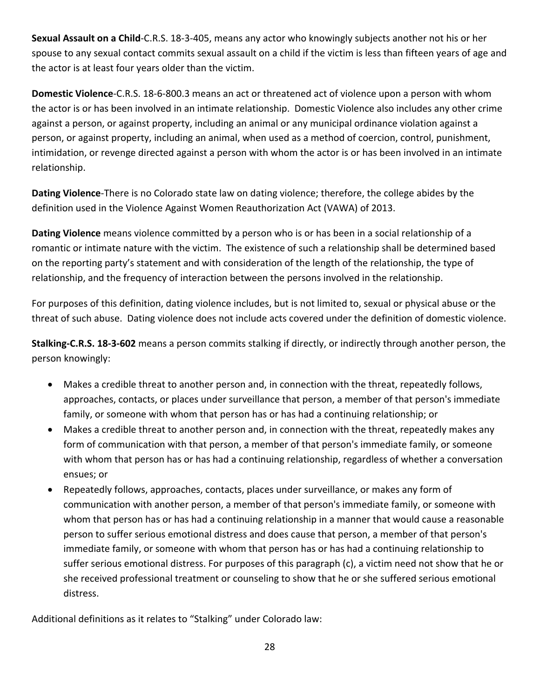**Sexual Assault on a Child**-C.R.S. 18-3-405, means any actor who knowingly subjects another not his or her spouse to any sexual contact commits sexual assault on a child if the victim is less than fifteen years of age and the actor is at least four years older than the victim.

**Domestic Violence**-C.R.S. 18-6-800.3 means an act or threatened act of violence upon a person with whom the actor is or has been involved in an intimate relationship. Domestic Violence also includes any other crime against a person, or against property, including an animal or any municipal ordinance violation against a person, or against property, including an animal, when used as a method of coercion, control, punishment, intimidation, or revenge directed against a person with whom the actor is or has been involved in an intimate relationship.

**Dating Violence**-There is no Colorado state law on dating violence; therefore, the college abides by the definition used in the Violence Against Women Reauthorization Act (VAWA) of 2013.

**Dating Violence** means violence committed by a person who is or has been in a social relationship of a romantic or intimate nature with the victim. The existence of such a relationship shall be determined based on the reporting party's statement and with consideration of the length of the relationship, the type of relationship, and the frequency of interaction between the persons involved in the relationship.

For purposes of this definition, dating violence includes, but is not limited to, sexual or physical abuse or the threat of such abuse. Dating violence does not include acts covered under the definition of domestic violence.

**Stalking-C.R.S. 18-3-602** means a person commits stalking if directly, or indirectly through another person, the person knowingly:

- Makes a credible threat to another person and, in connection with the threat, repeatedly follows, approaches, contacts, or places under surveillance that person, a member of that person's immediate family, or someone with whom that person has or has had a continuing relationship; or
- Makes a credible threat to another person and, in connection with the threat, repeatedly makes any form of communication with that person, a member of that person's immediate family, or someone with whom that person has or has had a continuing relationship, regardless of whether a conversation ensues; or
- Repeatedly follows, approaches, contacts, places under surveillance, or makes any form of communication with another person, a member of that person's immediate family, or someone with whom that person has or has had a continuing relationship in a manner that would cause a reasonable person to suffer serious emotional distress and does cause that person, a member of that person's immediate family, or someone with whom that person has or has had a continuing relationship to suffer serious emotional distress. For purposes of this paragraph (c), a victim need not show that he or she received professional treatment or counseling to show that he or she suffered serious emotional distress.

Additional definitions as it relates to "Stalking" under Colorado law: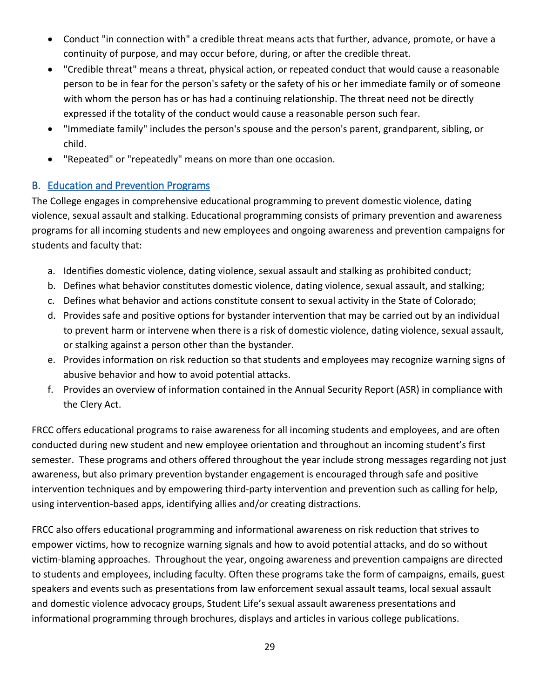- Conduct "in connection with" a credible threat means acts that further, advance, promote, or have a continuity of purpose, and may occur before, during, or after the credible threat.
- "Credible threat" means a threat, physical action, or repeated conduct that would cause a reasonable person to be in fear for the person's safety or the safety of his or her immediate family or of someone with whom the person has or has had a continuing relationship. The threat need not be directly expressed if the totality of the conduct would cause a reasonable person such fear.
- "Immediate family" includes the person's spouse and the person's parent, grandparent, sibling, or child.
- "Repeated" or "repeatedly" means on more than one occasion.

## <span id="page-29-0"></span>B. [Education and Prevention Programs](#page-1-0)

The College engages in comprehensive educational programming to prevent domestic violence, dating violence, sexual assault and stalking. Educational programming consists of primary prevention and awareness programs for all incoming students and new employees and ongoing awareness and prevention campaigns for students and faculty that:

- a. Identifies domestic violence, dating violence, sexual assault and stalking as prohibited conduct;
- b. Defines what behavior constitutes domestic violence, dating violence, sexual assault, and stalking;
- c. Defines what behavior and actions constitute consent to sexual activity in the State of Colorado;
- d. Provides safe and positive options for bystander intervention that may be carried out by an individual to prevent harm or intervene when there is a risk of domestic violence, dating violence, sexual assault, or stalking against a person other than the bystander.
- e. Provides information on risk reduction so that students and employees may recognize warning signs of abusive behavior and how to avoid potential attacks.
- f. Provides an overview of information contained in the Annual Security Report (ASR) in compliance with the Clery Act.

FRCC offers educational programs to raise awareness for all incoming students and employees, and are often conducted during new student and new employee orientation and throughout an incoming student's first semester. These programs and others offered throughout the year include strong messages regarding not just awareness, but also primary prevention bystander engagement is encouraged through safe and positive intervention techniques and by empowering third-party intervention and prevention such as calling for help, using intervention-based apps, identifying allies and/or creating distractions.

FRCC also offers educational programming and informational awareness on risk reduction that strives to empower victims, how to recognize warning signals and how to avoid potential attacks, and do so without victim-blaming approaches. Throughout the year, ongoing awareness and prevention campaigns are directed to students and employees, including faculty. Often these programs take the form of campaigns, emails, guest speakers and events such as presentations from law enforcement sexual assault teams, local sexual assault and domestic violence advocacy groups, Student Life's sexual assault awareness presentations and informational programming through brochures, displays and articles in various college publications.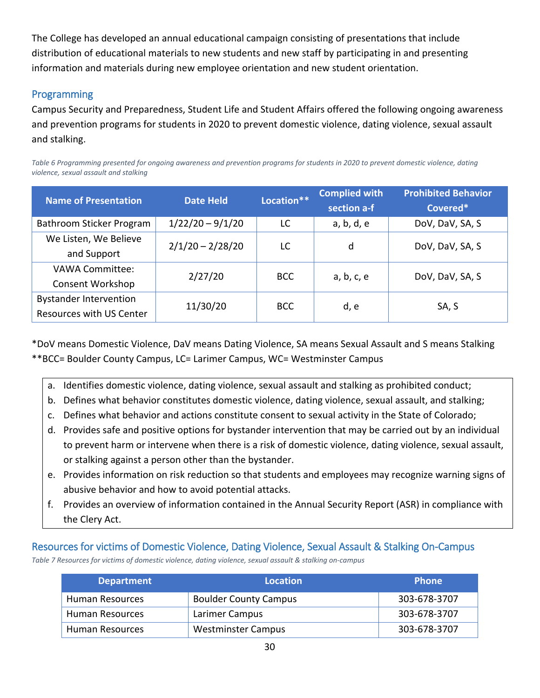The College has developed an annual educational campaign consisting of presentations that include distribution of educational materials to new students and new staff by participating in and presenting information and materials during new employee orientation and new student orientation.

## Programming

Campus Security and Preparedness, Student Life and Student Affairs offered the following ongoing awareness and prevention programs for students in 2020 to prevent domestic violence, dating violence, sexual assault and stalking.

*Table 6 Programming presented for ongoing awareness and prevention programs for students in 2020 to prevent domestic violence, dating violence, sexual assault and stalking*

| <b>Name of Presentation</b>                               | <b>Date Held</b>   | Location** | Complied with<br>section a-f | <b>Prohibited Behavior</b><br>Covered* |
|-----------------------------------------------------------|--------------------|------------|------------------------------|----------------------------------------|
| Bathroom Sticker Program                                  | $1/22/20 - 9/1/20$ | LC.        | a, b, d, e                   | DoV, DaV, SA, S                        |
| We Listen, We Believe<br>and Support                      | $2/1/20 - 2/28/20$ | LC         | d                            | DoV, DaV, SA, S                        |
| <b>VAWA Committee:</b><br><b>Consent Workshop</b>         | 2/27/20            | <b>BCC</b> | a, b, c, e                   | DoV, DaV, SA, S                        |
| <b>Bystander Intervention</b><br>Resources with US Center | 11/30/20           | <b>BCC</b> | d, e                         | SA, S                                  |

\*DoV means Domestic Violence, DaV means Dating Violence, SA means Sexual Assault and S means Stalking \*\*BCC= Boulder County Campus, LC= Larimer Campus, WC= Westminster Campus

- a. Identifies domestic violence, dating violence, sexual assault and stalking as prohibited conduct;
- b. Defines what behavior constitutes domestic violence, dating violence, sexual assault, and stalking;
- c. Defines what behavior and actions constitute consent to sexual activity in the State of Colorado;
- d. Provides safe and positive options for bystander intervention that may be carried out by an individual to prevent harm or intervene when there is a risk of domestic violence, dating violence, sexual assault, or stalking against a person other than the bystander.
- e. Provides information on risk reduction so that students and employees may recognize warning signs of abusive behavior and how to avoid potential attacks.
- f. Provides an overview of information contained in the Annual Security Report (ASR) in compliance with the Clery Act.

## Resources for victims of Domestic Violence, Dating Violence, Sexual Assault & Stalking On-Campus

*Table 7 Resources for victims of domestic violence, dating violence, sexual assault & stalking on-campus*

| <b>Department</b> | Location                     | <b>Phone</b> |
|-------------------|------------------------------|--------------|
| Human Resources   | <b>Boulder County Campus</b> | 303-678-3707 |
| Human Resources   | Larimer Campus               | 303-678-3707 |
| Human Resources   | <b>Westminster Campus</b>    | 303-678-3707 |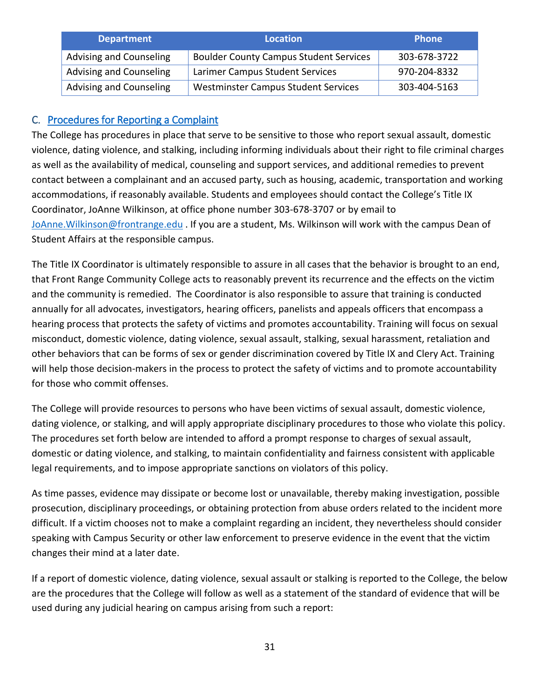to only those authorized students, staff, employees, or their guests for reasonable and safe purposes. A safe campus is everyone's responsibility.

Do your part to protect yourself and others. Increased awareness by all of us, can help prevent crime and keep our community safe.

Listed below are ways you can help protect yourself from criminal activity on and off campus: Always secure your residence or office door whenever you leave (even for just a minute.)

- x Do not store large amounts of money, jewelry, or other valuables in your vehicle, room or office.
- X Never leave your backpack, wallet or purse unattended.
- X Never loan your keys or I.D. to anyone. This includes any employee issued an access control card.
- x If you see someone who looks suspicious on campus, call Campus Security immediately. We want to verify if the individual has a valid reason to be on campus.
- x Try not to walk alone at night. Should you have to, stay in well-lit areas and walk with a purpose.
- x Always lock your vehicle. Put valuables and identifying papers in the trunk.
- x When walking to your vehicle, have your keys ready before you get to the door.
- x Check to make sure that no one is in your vehicle before you get inside.
- x After entering your vehicle, lock all doors and leave right away.
- X Know the locations of all security phones in campus buildings; you can use these to call Campus Security.
- X Be aware of your surroundings. Report any suspicious activity to Campus Security or local police immediately. Try to give a description that includes approximate age, height, and weight and details on hair, clothing, shoes, jewelry, scars, and tattoos - anything that is noticeable.
- x Always take steps to protect yourself and be aware.

#### **Campus Security Information Links**

- x Clery Center http://clerycenter.org/
- x U.S. Department of Education Campus Security https://www2.ed.gov/admins/lead/safety/campus.html
- x Office of Violence Against Women https://www.justice.gov/ovw
- x U.S. Department of Education OCR https://www2.ed.gov/about/offices/list/ocr/frontpage/pro-students/sex-pr.html

#### **Identity Theft Information / State and Federal sites**

- **x** Annual Credit Report https://www.annualcreditreport.com/cra/index.jsp
- X Colorado Bureau of Investigation Identity Theft, Fraud and Cyber Crimes Victim Support https://www.colorado.gov/pacific/cbi/identity-theft-fraud-and-cyber-crimes-victim-support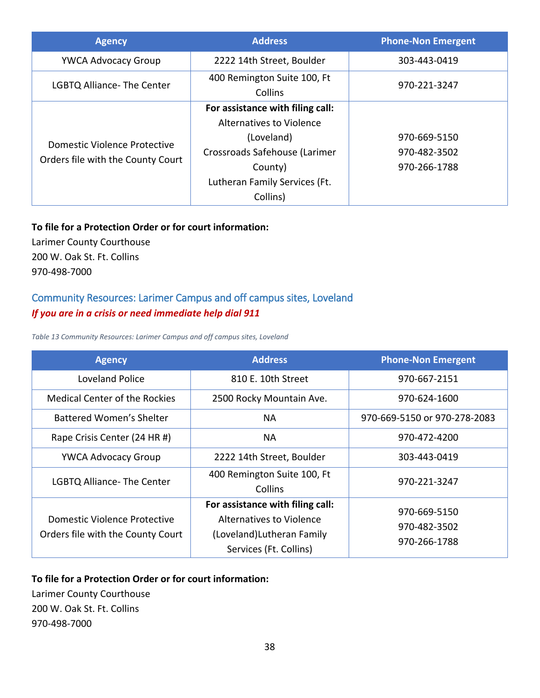| <b>Agency</b>                                                     | <b>Address</b>                                                                                                                                                      | <b>Phone-Non Emergent</b>                    |
|-------------------------------------------------------------------|---------------------------------------------------------------------------------------------------------------------------------------------------------------------|----------------------------------------------|
| <b>YWCA Advocacy Group</b>                                        | 2222 14th Street, Boulder                                                                                                                                           | 303-443-0419                                 |
| LGBTQ Alliance- The Center                                        | 400 Remington Suite 100, Ft<br>Collins                                                                                                                              | 970-221-3247                                 |
| Domestic Violence Protective<br>Orders file with the County Court | For assistance with filing call:<br>Alternatives to Violence<br>(Loveland)<br>Crossroads Safehouse (Larimer<br>County)<br>Lutheran Family Services (Ft.<br>Collins) | 970-669-5150<br>970-482-3502<br>970-266-1788 |

#### **To file for a Protection Order or for court information:**

Larimer County Courthouse 200 W. Oak St. Ft. Collins 970-498-7000

## Community Resources: Larimer Campus and off campus sites, Loveland *If you are in a crisis or need immediate help dial 911*

*Table 13 Community Resources: Larimer Campus and off campus sites, Loveland*

| <b>Agency</b>                        | <b>Address</b>                                               | <b>Phone-Non Emergent</b>    |  |  |
|--------------------------------------|--------------------------------------------------------------|------------------------------|--|--|
| Loveland Police                      | 810 E. 10th Street                                           | 970-667-2151                 |  |  |
| <b>Medical Center of the Rockies</b> | 2500 Rocky Mountain Ave.                                     | 970-624-1600                 |  |  |
| <b>Battered Women's Shelter</b>      | <b>NA</b>                                                    | 970-669-5150 or 970-278-2083 |  |  |
| Rape Crisis Center (24 HR #)         | <b>NA</b>                                                    | 970-472-4200                 |  |  |
| <b>YWCA Advocacy Group</b>           | 2222 14th Street, Boulder                                    | 303-443-0419                 |  |  |
| <b>LGBTQ Alliance- The Center</b>    | 400 Remington Suite 100, Ft<br><b>Collins</b>                | 970-221-3247                 |  |  |
| Domestic Violence Protective         | For assistance with filing call:<br>Alternatives to Violence | 970-669-5150                 |  |  |
| Orders file with the County Court    | (Loveland) Lutheran Family<br>Services (Ft. Collins)         | 970-482-3502<br>970-266-1788 |  |  |

#### **To file for a Protection Order or for court information:**

Larimer County Courthouse 200 W. Oak St. Ft. Collins 970-498-7000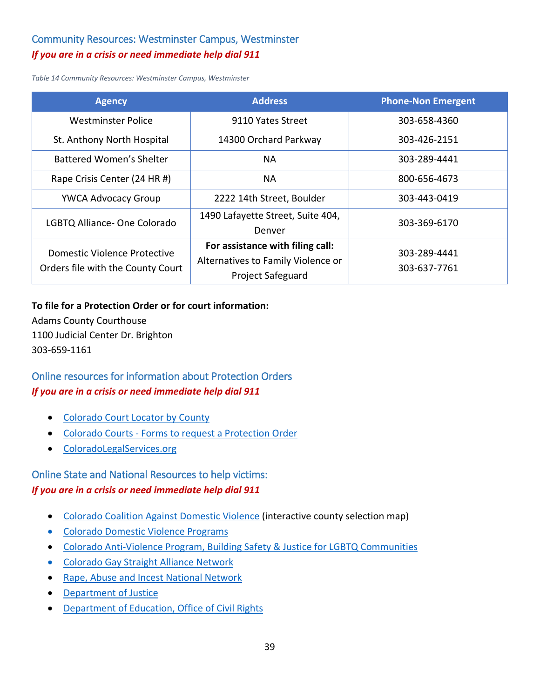## Community Resources: Westminster Campus, Westminster *If you are in a crisis or need immediate help dial 911*

*Table 14 Community Resources: Westminster Campus, Westminster*

| <b>Agency</b>                                                     | <b>Address</b>                                                                                     | <b>Phone-Non Emergent</b>    |
|-------------------------------------------------------------------|----------------------------------------------------------------------------------------------------|------------------------------|
| <b>Westminster Police</b>                                         | 9110 Yates Street                                                                                  | 303-658-4360                 |
| St. Anthony North Hospital                                        | 14300 Orchard Parkway                                                                              | 303-426-2151                 |
| Battered Women's Shelter                                          | <b>NA</b>                                                                                          | 303-289-4441                 |
| Rape Crisis Center (24 HR #)                                      | <b>NA</b>                                                                                          | 800-656-4673                 |
| <b>YWCA Advocacy Group</b>                                        | 2222 14th Street, Boulder                                                                          | 303-443-0419                 |
| LGBTQ Alliance- One Colorado                                      | 1490 Lafayette Street, Suite 404,<br>Denver                                                        | 303-369-6170                 |
| Domestic Violence Protective<br>Orders file with the County Court | For assistance with filing call:<br>Alternatives to Family Violence or<br><b>Project Safeguard</b> | 303-289-4441<br>303-637-7761 |

#### **To file for a Protection Order or for court information:**

Adams County Courthouse 1100 Judicial Center Dr. Brighton 303-659-1161

## Online resources for information about Protection Orders *If you are in a crisis or need immediate help dial 911*

- [Colorado Court Locator by County](https://www.courts.state.co.us/Courts/County/Choose.cfm)
- Colorado Courts [Forms to request a Protection Order](http://www.courts.state.co.us/Forms/Forms_List.cfm?Form_Type_ID=24)
- [ColoradoLegalServices.org](http://coloradolegalservices.org/)

#### Online State and National Resources to help victims: *If you are in a crisis or need immediate help dial 911*

- [Colorado Coalition Against Domestic Violence](http://ccadv.org/) (interactive county selection map)
- [Colorado Domestic Violence Programs](https://colorado.gov/pacific/cdhs/domestic-violence)
- [Colorado Anti-Violence Program, Building Safety & Justice for LGBTQ Communities](http://www.coavp.org/)
- [Colorado Gay Straight Alliance Network](https://one-colorado.org/colorado-gsa-network/)
- [Rape, Abuse and Incest National Network](http://www.rainn.org/)
- [Department of Justice](http://www.justice.gov/ovw/sexual-assault)
- [Department of Education, Office of Civil Rights](http://www2.ed.gov/about/offices/list/ocr/index.html)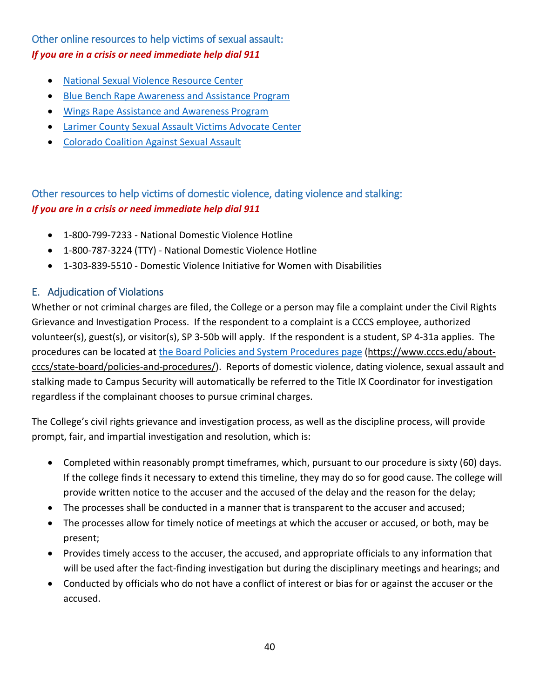## Other online resources to help victims of sexual assault: *If you are in a crisis or need immediate help dial 911*

- [National Sexual Violence Resource Center](http://www.nsvrc.org/)
- [Blue Bench Rape Awareness and Assistance Program](http://thebluebench.org/)
- [Wings Rape Assistance and Awareness Program](http://www.wingsfound.org/colorado-resources/)
- [Larimer County Sexual Assault Victims Advocate Center](http://www.savacenter.org/)
- [Colorado Coalition Against Sexual Assault](http://www.ccasa.org/)

## Other resources to help victims of domestic violence, dating violence and stalking: *If you are in a crisis or need immediate help dial 911*

- 1-800-799-7233 National Domestic Violence Hotline
- 1-800-787-3224 (TTY) National Domestic Violence Hotline
- 1-303-839-5510 Domestic Violence Initiative for Women with Disabilities

#### <span id="page-40-0"></span>E. Adjudication of Violations

Whether or not criminal charges are filed, the College or a person may file a complaint under the Civil Rights Grievance and Investigation Process. If the respondent to a complaint is a CCCS employee, authorized volunteer(s), guest(s), or visitor(s), SP 3-50b will apply. If the respondent is a student, SP 4-31a applies. The procedures can be located at [the Board Policies and System Procedures page](https://www.cccs.edu/about-cccs/state-board/policies-and-procedures/) (https://www.cccs.edu/aboutcccs/state-board/policies-and-procedures/). Reports of domestic violence, dating violence, sexual assault and stalking made to Campus Security will automatically be referred to the Title IX Coordinator for investigation regardless if the complainant chooses to pursue criminal charges.

The College's civil rights grievance and investigation process, as well as the discipline process, will provide prompt, fair, and impartial investigation and resolution, which is:

- Completed within reasonably prompt timeframes, which, pursuant to our procedure is sixty (60) days. If the college finds it necessary to extend this timeline, they may do so for good cause. The college will provide written notice to the accuser and the accused of the delay and the reason for the delay;
- The processes shall be conducted in a manner that is transparent to the accuser and accused;
- The processes allow for timely notice of meetings at which the accuser or accused, or both, may be present;
- Provides timely access to the accuser, the accused, and appropriate officials to any information that will be used after the fact-finding investigation but during the disciplinary meetings and hearings; and
- Conducted by officials who do not have a conflict of interest or bias for or against the accuser or the accused.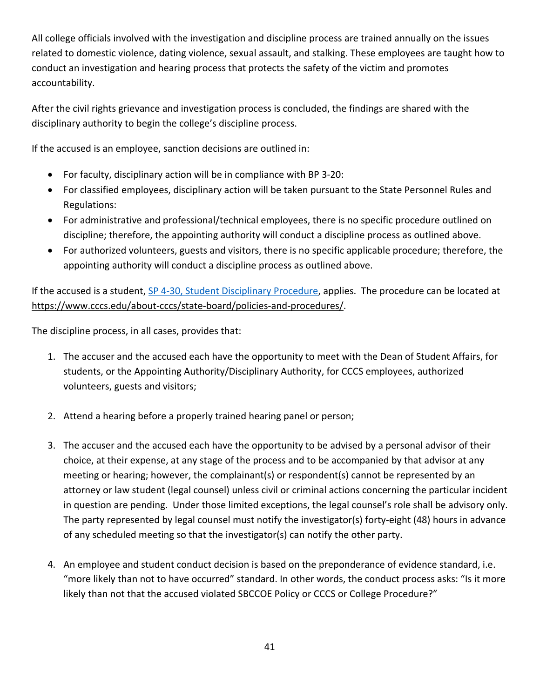All college officials involved with the investigation and discipline process are trained annually on the issues related to domestic violence, dating violence, sexual assault, and stalking. These employees are taught how to conduct an investigation and hearing process that protects the safety of the victim and promotes accountability.

After the civil rights grievance and investigation process is concluded, the findings are shared with the disciplinary authority to begin the college's discipline process.

If the accused is an employee, sanction decisions are outlined in:

- For faculty, disciplinary action will be in compliance with BP 3-20:
- For classified employees, disciplinary action will be taken pursuant to the State Personnel Rules and Regulations:
- For administrative and professional/technical employees, there is no specific procedure outlined on discipline; therefore, the appointing authority will conduct a discipline process as outlined above.
- For authorized volunteers, guests and visitors, there is no specific applicable procedure; therefore, the appointing authority will conduct a discipline process as outlined above.

If the accused is a student, [SP 4-30, Student Disciplinary Procedure,](https://www.cccs.edu/about-cccs/state-board/policies-and-procedures/) applies. The procedure can be located at https://www.cccs.edu/about-cccs/state-board/policies-and-procedures/.

The discipline process, in all cases, provides that:

- 1. The accuser and the accused each have the opportunity to meet with the Dean of Student Affairs, for students, or the Appointing Authority/Disciplinary Authority, for CCCS employees, authorized volunteers, guests and visitors;
- 2. Attend a hearing before a properly trained hearing panel or person;
- 3. The accuser and the accused each have the opportunity to be advised by a personal advisor of their choice, at their expense, at any stage of the process and to be accompanied by that advisor at any meeting or hearing; however, the complainant(s) or respondent(s) cannot be represented by an attorney or law student (legal counsel) unless civil or criminal actions concerning the particular incident in question are pending. Under those limited exceptions, the legal counsel's role shall be advisory only. The party represented by legal counsel must notify the investigator(s) forty-eight (48) hours in advance of any scheduled meeting so that the investigator(s) can notify the other party.
- 4. An employee and student conduct decision is based on the preponderance of evidence standard, i.e. "more likely than not to have occurred" standard. In other words, the conduct process asks: "Is it more likely than not that the accused violated SBCCOE Policy or CCCS or College Procedure?"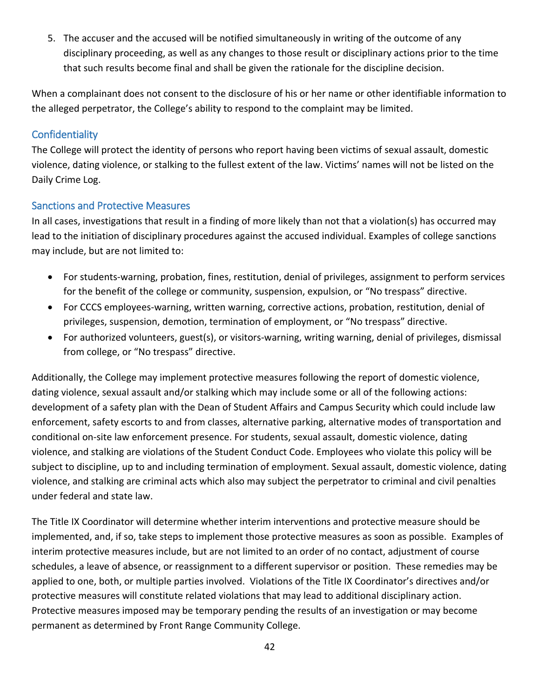5. The accuser and the accused will be notified simultaneously in writing of the outcome of any disciplinary proceeding, as well as any changes to those result or disciplinary actions prior to the time that such results become final and shall be given the rationale for the discipline decision.

When a complainant does not consent to the disclosure of his or her name or other identifiable information to the alleged perpetrator, the College's ability to respond to the complaint may be limited.

#### **Confidentiality**

The College will protect the identity of persons who report having been victims of sexual assault, domestic violence, dating violence, or stalking to the fullest extent of the law. Victims' names will not be listed on the Daily Crime Log.

#### Sanctions and Protective Measures

In all cases, investigations that result in a finding of more likely than not that a violation(s) has occurred may lead to the initiation of disciplinary procedures against the accused individual. Examples of college sanctions may include, but are not limited to:

- For students-warning, probation, fines, restitution, denial of privileges, assignment to perform services for the benefit of the college or community, suspension, expulsion, or "No trespass" directive.
- For CCCS employees-warning, written warning, corrective actions, probation, restitution, denial of privileges, suspension, demotion, termination of employment, or "No trespass" directive.
- For authorized volunteers, guest(s), or visitors-warning, writing warning, denial of privileges, dismissal from college, or "No trespass" directive.

Additionally, the College may implement protective measures following the report of domestic violence, dating violence, sexual assault and/or stalking which may include some or all of the following actions: development of a safety plan with the Dean of Student Affairs and Campus Security which could include law enforcement, safety escorts to and from classes, alternative parking, alternative modes of transportation and conditional on-site law enforcement presence. For students, sexual assault, domestic violence, dating violence, and stalking are violations of the Student Conduct Code. Employees who violate this policy will be subject to discipline, up to and including termination of employment. Sexual assault, domestic violence, dating violence, and stalking are criminal acts which also may subject the perpetrator to criminal and civil penalties under federal and state law.

The Title IX Coordinator will determine whether interim interventions and protective measure should be implemented, and, if so, take steps to implement those protective measures as soon as possible. Examples of interim protective measures include, but are not limited to an order of no contact, adjustment of course schedules, a leave of absence, or reassignment to a different supervisor or position. These remedies may be applied to one, both, or multiple parties involved. Violations of the Title IX Coordinator's directives and/or protective measures will constitute related violations that may lead to additional disciplinary action. Protective measures imposed may be temporary pending the results of an investigation or may become permanent as determined by Front Range Community College.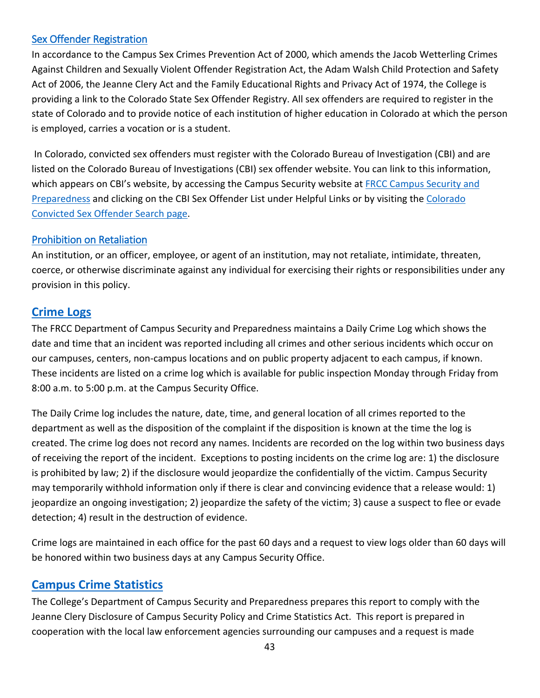#### [Sex Offender Registration](#page-1-0)

In accordance to the Campus Sex Crimes Prevention Act of 2000, which amends the Jacob Wetterling Crimes Against Children and Sexually Violent Offender Registration Act, the Adam Walsh Child Protection and Safety Act of 2006, the Jeanne Clery Act and the Family Educational Rights and Privacy Act of 1974, the College is providing a link to the Colorado State Sex Offender Registry. All sex offenders are required to register in the state of Colorado and to provide notice of each institution of higher education in Colorado at which the person is employed, carries a vocation or is a student.

In Colorado, convicted sex offenders must register with the Colorado Bureau of Investigation (CBI) and are listed on the Colorado Bureau of Investigations (CBI) sex offender website. You can link to this information, which appears on CBI's website, by accessing the Campus Security website at FRCC Campus Security and [Preparedness](http://www.frontrange.edu/About-Us/Campus-Safety/Campus-Security.aspx) and clicking on the CBI Sex Offender List under Helpful Links or by visiting the [Colorado](https://apps.colorado.gov/apps/dps/sor/)  [Convicted Sex Offender Search page.](https://apps.colorado.gov/apps/dps/sor/)

#### [Prohibition on Retaliation](#page-1-0)

An institution, or an officer, employee, or agent of an institution, may not retaliate, intimidate, threaten, coerce, or otherwise discriminate against any individual for exercising their rights or responsibilities under any provision in this policy.

## <span id="page-43-0"></span>**[Crime Logs](#page-1-0)**

The FRCC Department of Campus Security and Preparedness maintains a Daily Crime Log which shows the date and time that an incident was reported including all crimes and other serious incidents which occur on our campuses, centers, non-campus locations and on public property adjacent to each campus, if known. These incidents are listed on a crime log which is available for public inspection Monday through Friday from 8:00 a.m. to 5:00 p.m. at the Campus Security Office.

The Daily Crime log includes the nature, date, time, and general location of all crimes reported to the department as well as the disposition of the complaint if the disposition is known at the time the log is created. The crime log does not record any names. Incidents are recorded on the log within two business days of receiving the report of the incident. Exceptions to posting incidents on the crime log are: 1) the disclosure is prohibited by law; 2) if the disclosure would jeopardize the confidentially of the victim. Campus Security may temporarily withhold information only if there is clear and convincing evidence that a release would: 1) jeopardize an ongoing investigation; 2) jeopardize the safety of the victim; 3) cause a suspect to flee or evade detection; 4) result in the destruction of evidence.

Crime logs are maintained in each office for the past 60 days and a request to view logs older than 60 days will be honored within two business days at any Campus Security Office.

## <span id="page-43-1"></span>**[Campus Crime Statistics](#page-1-0)**

The College's Department of Campus Security and Preparedness prepares this report to comply with the Jeanne Clery Disclosure of Campus Security Policy and Crime Statistics Act. This report is prepared in cooperation with the local law enforcement agencies surrounding our campuses and a request is made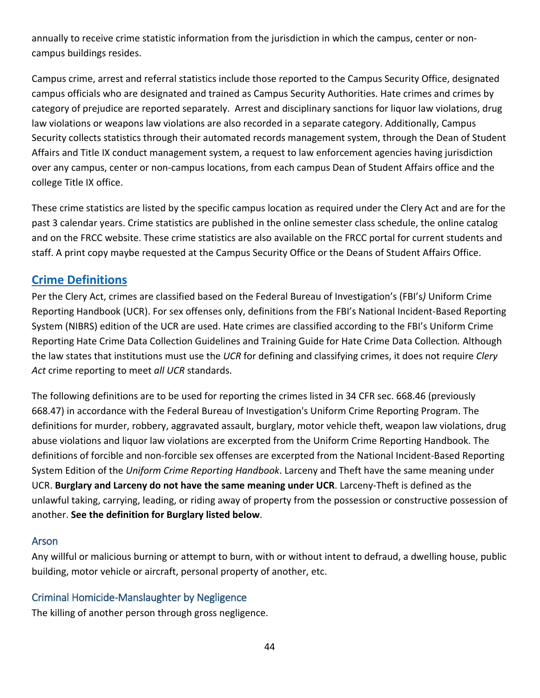annually to receive crime statistic information from the jurisdiction in which the campus, center or noncampus buildings resides.

Campus crime, arrest and referral statistics include those reported to the Campus Security Office, designated campus officials who are designated and trained as Campus Security Authorities. Hate crimes and crimes by category of prejudice are reported separately. Arrest and disciplinary sanctions for liquor law violations, drug law violations or weapons law violations are also recorded in a separate category. Additionally, Campus Security collects statistics through their automated records management system, through the Dean of Student Affairs and Title IX conduct management system, a request to law enforcement agencies having jurisdiction over any campus, center or non-campus locations, from each campus Dean of Student Affairs office and the college Title IX office.

These crime statistics are listed by the specific campus location as required under the Clery Act and are for the past 3 calendar years. Crime statistics are published in the online semester class schedule, the online catalog and on the FRCC website. These crime statistics are also available on the FRCC portal for current students and staff. A print copy maybe requested at the Campus Security Office or the Deans of Student Affairs Office.

## <span id="page-44-0"></span>**[Crime Definitions](#page-1-0)**

Per the Clery Act, crimes are classified based on the Federal Bureau of Investigation's (FBI's*)* Uniform Crime Reporting Handbook (UCR). For sex offenses only, definitions from the FBI's National Incident-Based Reporting System (NIBRS) edition of the UCR are used. Hate crimes are classified according to the FBI's Uniform Crime Reporting Hate Crime Data Collection Guidelines and Training Guide for Hate Crime Data Collection*.* Although the law states that institutions must use the *UCR* for defining and classifying crimes, it does not require *Clery Act* crime reporting to meet *all UCR* standards.

The following definitions are to be used for reporting the crimes listed in 34 CFR sec. 668.46 (previously 668.47) in accordance with the Federal Bureau of Investigation's Uniform Crime Reporting Program. The definitions for murder, robbery, aggravated assault, burglary, motor vehicle theft, weapon law violations, drug abuse violations and liquor law violations are excerpted from the Uniform Crime Reporting Handbook. The definitions of forcible and non-forcible sex offenses are excerpted from the National Incident-Based Reporting System Edition of the *Uniform Crime Reporting Handbook*. Larceny and Theft have the same meaning under UCR. **Burglary and Larceny do not have the same meaning under UCR**. Larceny-Theft is defined as the unlawful taking, carrying, leading, or riding away of property from the possession or constructive possession of another. **See the definition for Burglary listed below**.

#### <span id="page-44-1"></span>Arson

Any willful or malicious burning or attempt to burn, with or without intent to defraud, a dwelling house, public building, motor vehicle or aircraft, personal property of another, etc.

#### <span id="page-44-2"></span>Criminal Homicide-Manslaughter by Negligence

The killing of another person through gross negligence.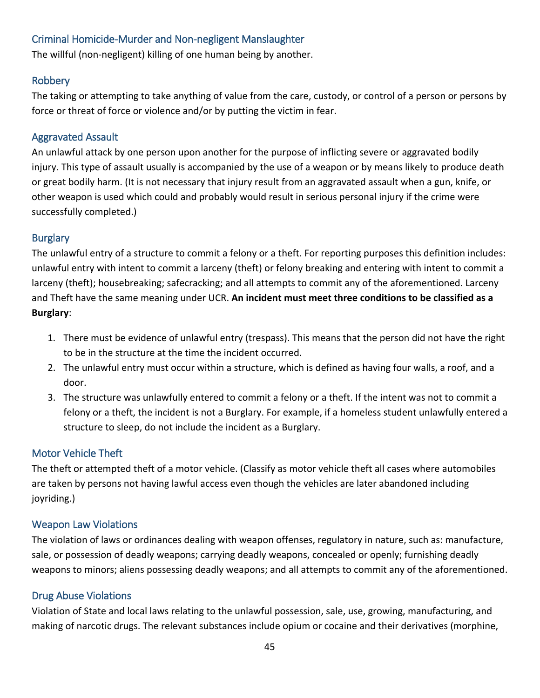## <span id="page-45-0"></span>Criminal Homicide-Murder and Non-negligent Manslaughter

The willful (non-negligent) killing of one human being by another.

#### <span id="page-45-1"></span>Robbery

The taking or attempting to take anything of value from the care, custody, or control of a person or persons by force or threat of force or violence and/or by putting the victim in fear.

#### <span id="page-45-2"></span>Aggravated Assault

An unlawful attack by one person upon another for the purpose of inflicting severe or aggravated bodily injury. This type of assault usually is accompanied by the use of a weapon or by means likely to produce death or great bodily harm. (It is not necessary that injury result from an aggravated assault when a gun, knife, or other weapon is used which could and probably would result in serious personal injury if the crime were successfully completed.)

#### <span id="page-45-3"></span>**Burglary**

The unlawful entry of a structure to commit a felony or a theft. For reporting purposes this definition includes: unlawful entry with intent to commit a larceny (theft) or felony breaking and entering with intent to commit a larceny (theft); housebreaking; safecracking; and all attempts to commit any of the aforementioned. Larceny and Theft have the same meaning under UCR. **An incident must meet three conditions to be classified as a Burglary**:

- 1. There must be evidence of unlawful entry (trespass). This means that the person did not have the right to be in the structure at the time the incident occurred.
- 2. The unlawful entry must occur within a structure, which is defined as having four walls, a roof, and a door.
- 3. The structure was unlawfully entered to commit a felony or a theft. If the intent was not to commit a felony or a theft, the incident is not a Burglary. For example, if a homeless student unlawfully entered a structure to sleep, do not include the incident as a Burglary.

#### <span id="page-45-4"></span>Motor Vehicle Theft

The theft or attempted theft of a motor vehicle. (Classify as motor vehicle theft all cases where automobiles are taken by persons not having lawful access even though the vehicles are later abandoned including joyriding.)

#### <span id="page-45-5"></span>Weapon Law Violations

The violation of laws or ordinances dealing with weapon offenses, regulatory in nature, such as: manufacture, sale, or possession of deadly weapons; carrying deadly weapons, concealed or openly; furnishing deadly weapons to minors; aliens possessing deadly weapons; and all attempts to commit any of the aforementioned.

#### <span id="page-45-6"></span>Drug Abuse Violations

Violation of State and local laws relating to the unlawful possession, sale, use, growing, manufacturing, and making of narcotic drugs. The relevant substances include opium or cocaine and their derivatives (morphine,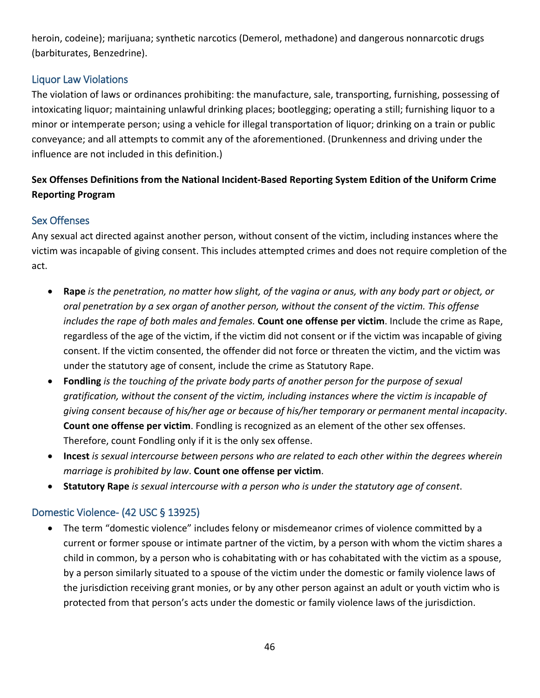heroin, codeine); marijuana; synthetic narcotics (Demerol, methadone) and dangerous nonnarcotic drugs (barbiturates, Benzedrine).

#### <span id="page-46-0"></span>Liquor Law Violations

The violation of laws or ordinances prohibiting: the manufacture, sale, transporting, furnishing, possessing of intoxicating liquor; maintaining unlawful drinking places; bootlegging; operating a still; furnishing liquor to a minor or intemperate person; using a vehicle for illegal transportation of liquor; drinking on a train or public conveyance; and all attempts to commit any of the aforementioned. (Drunkenness and driving under the influence are not included in this definition.)

## **Sex Offenses Definitions from the National Incident-Based Reporting System Edition of the Uniform Crime Reporting Program**

#### <span id="page-46-1"></span>Sex Offenses

Any sexual act directed against another person, without consent of the victim, including instances where the victim was incapable of giving consent. This includes attempted crimes and does not require completion of the act.

- **Rape** *is the penetration, no matter how slight, of the vagina or anus, with any body part or object, or oral penetration by a sex organ of another person, without the consent of the victim. This offense includes the rape of both males and females.* **Count one offense per victim**. Include the crime as Rape, regardless of the age of the victim, if the victim did not consent or if the victim was incapable of giving consent. If the victim consented, the offender did not force or threaten the victim, and the victim was under the statutory age of consent, include the crime as Statutory Rape.
- **Fondling** *is the touching of the private body parts of another person for the purpose of sexual gratification, without the consent of the victim, including instances where the victim is incapable of giving consent because of his/her age or because of his/her temporary or permanent mental incapacity*. **Count one offense per victim**. Fondling is recognized as an element of the other sex offenses. Therefore, count Fondling only if it is the only sex offense.
- **Incest** *is sexual intercourse between persons who are related to each other within the degrees wherein marriage is prohibited by law*. **Count one offense per victim**.
- **Statutory Rape** *is sexual intercourse with a person who is under the statutory age of consent*.

#### <span id="page-46-2"></span>Domestic Violence- (42 USC § 13925)

• The term "domestic violence" includes felony or misdemeanor crimes of violence committed by a current or former spouse or intimate partner of the victim, by a person with whom the victim shares a child in common, by a person who is cohabitating with or has cohabitated with the victim as a spouse, by a person similarly situated to a spouse of the victim under the domestic or family violence laws of the jurisdiction receiving grant monies, or by any other person against an adult or youth victim who is protected from that person's acts under the domestic or family violence laws of the jurisdiction.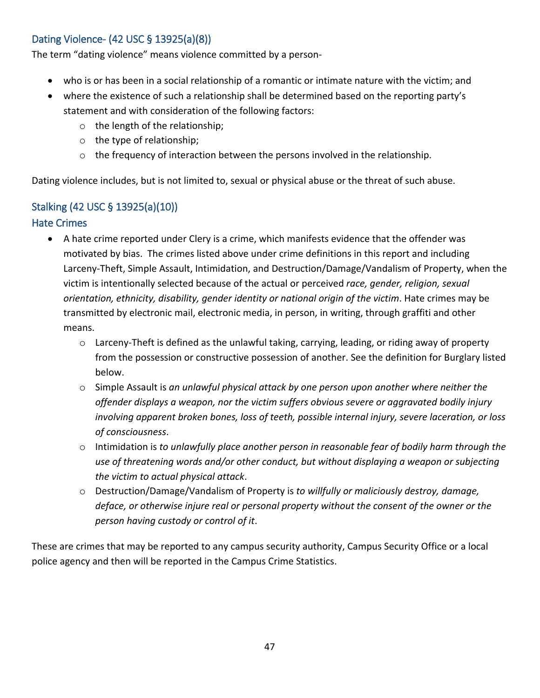## <span id="page-47-0"></span>Dating Violence- (42 USC § 13925(a)(8))

The term "dating violence" means violence committed by a person-

- who is or has been in a social relationship of a romantic or intimate nature with the victim; and
- where the existence of such a relationship shall be determined based on the reporting party's statement and with consideration of the following factors:
	- o the length of the relationship;
	- o the type of relationship;
	- o the frequency of interaction between the persons involved in the relationship.

Dating violence includes, but is not limited to, sexual or physical abuse or the threat of such abuse.

## <span id="page-47-1"></span>Stalking (42 USC § 13925(a)(10))

#### <span id="page-47-2"></span>Hate Crimes

- A hate crime reported under Clery is a crime, which manifests evidence that the offender was motivated by bias. The crimes listed above under crime definitions in this report and including Larceny-Theft, Simple Assault, Intimidation, and Destruction/Damage/Vandalism of Property, when the victim is intentionally selected because of the actual or perceived *race, gender, religion, sexual orientation, ethnicity, disability, gender identity or national origin of the victim*. Hate crimes may be transmitted by electronic mail, electronic media, in person, in writing, through graffiti and other means.
	- $\circ$  Larceny-Theft is defined as the unlawful taking, carrying, leading, or riding away of property from the possession or constructive possession of another. See the definition for Burglary listed below.
	- o Simple Assault is *an unlawful physical attack by one person upon another where neither the offender displays a weapon, nor the victim suffers obvious severe or aggravated bodily injury involving apparent broken bones, loss of teeth, possible internal injury, severe laceration, or loss of consciousness*.
	- o Intimidation is *to unlawfully place another person in reasonable fear of bodily harm through the use of threatening words and/or other conduct, but without displaying a weapon or subjecting the victim to actual physical attack*.
	- o Destruction/Damage/Vandalism of Property is *to willfully or maliciously destroy, damage, deface, or otherwise injure real or personal property without the consent of the owner or the person having custody or control of it*.

<span id="page-47-3"></span>These are crimes that may be reported to any campus security authority, Campus Security Office or a local police agency and then will be reported in the Campus Crime Statistics.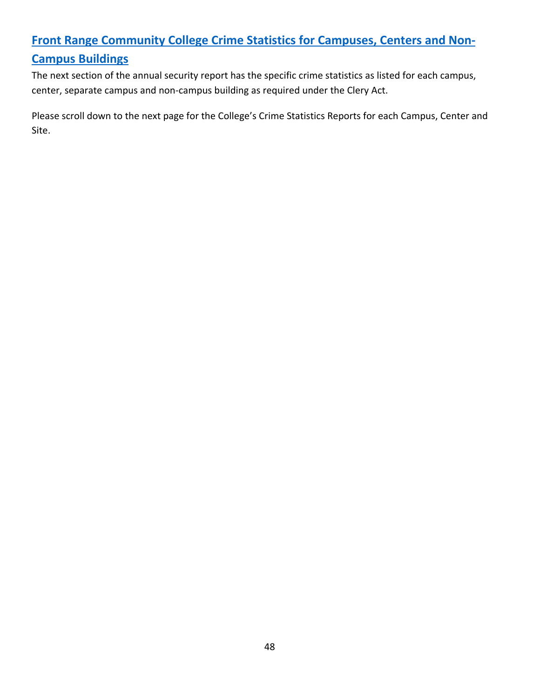## <span id="page-48-0"></span>**[Front Range Community College Crime Statistics for Campuses, Centers and](#page-1-0) Non-[Campus Buildings](#page-1-0)**

The next section of the annual security report has the specific crime statistics as listed for each campus, center, separate campus and non-campus building as required under the Clery Act.

Please scroll down to the next page for the College's Crime Statistics Reports for each Campus, Center and Site.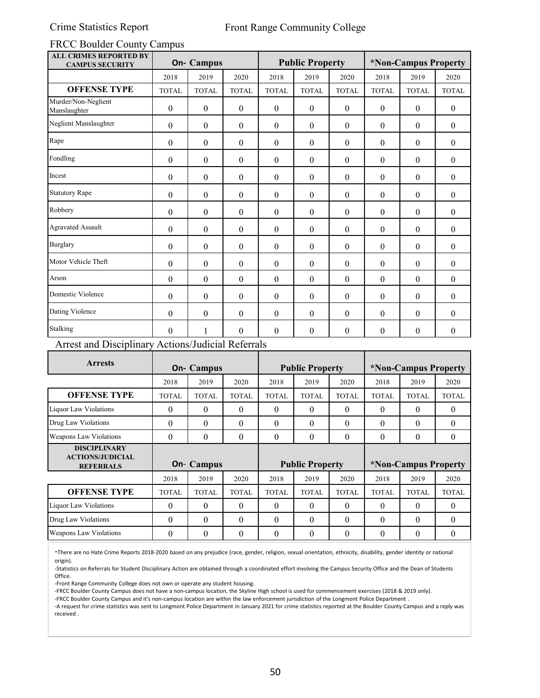#### FRCC Boulder County Campus

| <b>ALL CRIMES REPORTED BY</b><br><b>CAMPUS SECURITY</b> |                  | On- Campus       |                  |                  | <b>Public Property</b> |                  |                  | 2018<br>2019<br><b>TOTAL</b><br><b>TOTAL</b><br>$\mathbf{0}$<br>$\boldsymbol{0}$<br>$\boldsymbol{0}$<br>$\overline{0}$<br>$\boldsymbol{0}$<br>$\overline{0}$<br>$\boldsymbol{0}$<br>$\boldsymbol{0}$<br>$\boldsymbol{0}$<br>$\boldsymbol{0}$<br>$\boldsymbol{0}$<br>$\boldsymbol{0}$<br>$\boldsymbol{0}$<br>$\boldsymbol{0}$<br>$\boldsymbol{0}$<br>$\theta$<br>$\Omega$<br>$\boldsymbol{0}$<br>$\Omega$<br>$\theta$<br>$\Omega$<br>$\theta$<br>$\overline{0}$<br>$\boldsymbol{0}$ |                  | *Non-Campus Property |  |  |
|---------------------------------------------------------|------------------|------------------|------------------|------------------|------------------------|------------------|------------------|------------------------------------------------------------------------------------------------------------------------------------------------------------------------------------------------------------------------------------------------------------------------------------------------------------------------------------------------------------------------------------------------------------------------------------------------------------------------------------|------------------|----------------------|--|--|
|                                                         | 2018             | 2019             | 2020             | 2018             | 2019                   | 2020             |                  |                                                                                                                                                                                                                                                                                                                                                                                                                                                                                    | 2020             |                      |  |  |
| <b>OFFENSE TYPE</b>                                     | <b>TOTAL</b>     | <b>TOTAL</b>     | <b>TOTAL</b>     | <b>TOTAL</b>     | <b>TOTAL</b>           | <b>TOTAL</b>     |                  |                                                                                                                                                                                                                                                                                                                                                                                                                                                                                    | <b>TOTAL</b>     |                      |  |  |
| Murder/Non-Neglient<br>Manslaughter                     | $\boldsymbol{0}$ | $\boldsymbol{0}$ | $\boldsymbol{0}$ | $\mathbf{0}$     | $\mathbf{0}$           | $\mathbf{0}$     |                  |                                                                                                                                                                                                                                                                                                                                                                                                                                                                                    | $\mathbf{0}$     |                      |  |  |
| Neglient Manslaughter                                   | $\boldsymbol{0}$ | $\overline{0}$   | $\boldsymbol{0}$ | $\mathbf{0}$     | $\mathbf{0}$           | $\mathbf{0}$     |                  |                                                                                                                                                                                                                                                                                                                                                                                                                                                                                    | $\overline{0}$   |                      |  |  |
| Rape                                                    | $\boldsymbol{0}$ | $\overline{0}$   | $\boldsymbol{0}$ | $\mathbf{0}$     | $\theta$               | $\theta$         |                  |                                                                                                                                                                                                                                                                                                                                                                                                                                                                                    | $\theta$         |                      |  |  |
| Fondling                                                | $\theta$         | $\Omega$         | $\boldsymbol{0}$ | $\boldsymbol{0}$ | $\theta$               | $\theta$         |                  |                                                                                                                                                                                                                                                                                                                                                                                                                                                                                    | $\theta$         |                      |  |  |
| Incest                                                  | $\boldsymbol{0}$ | $\boldsymbol{0}$ | $\boldsymbol{0}$ | $\boldsymbol{0}$ | $\boldsymbol{0}$       | $\theta$         |                  |                                                                                                                                                                                                                                                                                                                                                                                                                                                                                    | $\boldsymbol{0}$ |                      |  |  |
| <b>Statutory Rape</b>                                   | $\theta$         | $\boldsymbol{0}$ | $\boldsymbol{0}$ | $\boldsymbol{0}$ | $\theta$               | $\boldsymbol{0}$ |                  |                                                                                                                                                                                                                                                                                                                                                                                                                                                                                    | $\boldsymbol{0}$ |                      |  |  |
| Robbery                                                 | $\boldsymbol{0}$ | $\boldsymbol{0}$ | $\boldsymbol{0}$ | $\boldsymbol{0}$ | $\boldsymbol{0}$       | $\boldsymbol{0}$ |                  |                                                                                                                                                                                                                                                                                                                                                                                                                                                                                    | $\boldsymbol{0}$ |                      |  |  |
| <b>Agravated Assault</b>                                | $\boldsymbol{0}$ | $\boldsymbol{0}$ | $\boldsymbol{0}$ | $\boldsymbol{0}$ | $\boldsymbol{0}$       | $\theta$         |                  |                                                                                                                                                                                                                                                                                                                                                                                                                                                                                    | $\theta$         |                      |  |  |
| Burglary                                                | $\theta$         | $\boldsymbol{0}$ | $\boldsymbol{0}$ | $\boldsymbol{0}$ | $\theta$               | $\theta$         |                  |                                                                                                                                                                                                                                                                                                                                                                                                                                                                                    | $\Omega$         |                      |  |  |
| Motor Vehicle Theft                                     | $\theta$         | $\Omega$         | $\boldsymbol{0}$ | $\theta$         | $\theta$               | $\theta$         |                  |                                                                                                                                                                                                                                                                                                                                                                                                                                                                                    | $\theta$         |                      |  |  |
| Arson                                                   | $\theta$         | $\Omega$         | $\Omega$         | $\theta$         | $\theta$               | $\theta$         |                  |                                                                                                                                                                                                                                                                                                                                                                                                                                                                                    | $\theta$         |                      |  |  |
| Domestic Violence                                       | $\Omega$         | $\Omega$         | $\boldsymbol{0}$ | $\boldsymbol{0}$ | $\theta$               | $\theta$         |                  |                                                                                                                                                                                                                                                                                                                                                                                                                                                                                    | $\theta$         |                      |  |  |
| Dating Violence                                         | $\boldsymbol{0}$ | $\boldsymbol{0}$ | $\boldsymbol{0}$ | $\boldsymbol{0}$ | $\boldsymbol{0}$       | $\boldsymbol{0}$ | $\boldsymbol{0}$ | $\theta$                                                                                                                                                                                                                                                                                                                                                                                                                                                                           | $\mathbf{0}$     |                      |  |  |
| Stalking                                                | $\mathbf{0}$     | 1                | $\mathbf{0}$     | $\boldsymbol{0}$ | $\mathbf{0}$           | $\mathbf{0}$     | $\boldsymbol{0}$ | $\boldsymbol{0}$                                                                                                                                                                                                                                                                                                                                                                                                                                                                   | $\boldsymbol{0}$ |                      |  |  |
| Arrest and Disciplinary Actions/Judicial Referrals      |                  |                  |                  |                  |                        |                  |                  |                                                                                                                                                                                                                                                                                                                                                                                                                                                                                    |                  |                      |  |  |

| <b>Arrests</b>                                                     |                  | <b>On-</b> Campus |              |                        | <b>Public Property</b> |              |                      | *Non-Campus Property |              |  |
|--------------------------------------------------------------------|------------------|-------------------|--------------|------------------------|------------------------|--------------|----------------------|----------------------|--------------|--|
|                                                                    | 2018             | 2019              | 2020         | 2018                   | 2019                   | 2020         | 2018                 | 2019                 | 2020         |  |
| <b>OFFENSE TYPE</b>                                                | <b>TOTAL</b>     | TOTAL             | <b>TOTAL</b> | <b>TOTAL</b>           | TOTAL                  | <b>TOTAL</b> | <b>TOTAL</b>         | <b>TOTAL</b>         | <b>TOTAL</b> |  |
| <b>Liquor Law Violations</b>                                       | $\theta$         | $\Omega$          | 0            | $\theta$               | $\Omega$               | $\Omega$     | 0                    | $\theta$             | $\theta$     |  |
| Drug Law Violations                                                | $\theta$         | $\theta$          | 0            | $\theta$               | $\theta$               | $\theta$     | 0                    | $\theta$             | $\mathbf{0}$ |  |
| <b>Weapons Law Violations</b>                                      | $\theta$         | $\Omega$          | 0            | $\theta$               | $\theta$               | $\Omega$     | 0                    | $\theta$             | $\theta$     |  |
| <b>DISCIPLINARY</b><br><b>ACTIONS/JUDICIAL</b><br><b>REFERRALS</b> | <b>On-Campus</b> |                   |              | <b>Public Property</b> |                        |              | *Non-Campus Property |                      |              |  |
|                                                                    | 2018             | 2019              | 2020         | 2018                   | 2019                   | 2020         | 2018                 | 2019                 | 2020         |  |
| <b>OFFENSE TYPE</b>                                                | <b>TOTAL</b>     | <b>TOTAL</b>      | <b>TOTAL</b> | <b>TOTAL</b>           | <b>TOTAL</b>           | <b>TOTAL</b> | <b>TOTAL</b>         | <b>TOTAL</b>         | <b>TOTAL</b> |  |
| <b>Liquor Law Violations</b>                                       | $\theta$         | $\Omega$          | 0            | $\Omega$               | $\Omega$               | $\Omega$     | 0                    | $\Omega$             | $\Omega$     |  |
| Drug Law Violations                                                | $\theta$         | $\Omega$          | 0            | $\Omega$               | $\Omega$               | $\Omega$     | 0                    | $\Omega$             | $\Omega$     |  |
| Weapons Law Violations                                             | $\theta$         | $\theta$          | 0            | $\theta$               | $\theta$               | 0            | 0                    | $\theta$             | $\theta$     |  |

-There are no Hate Crime Reports 2018-2020 based on any prejudice (race, gender, religion, sexual orientation, ethnicity, disability, gender identity or national origin).

-Statistics on Referrals for Student Disciplinary Action are obtained through a coordinated effort involving the Campus Security Office and the Dean of Students Office.

-Front Range Community College does not own or operate any student housing.

-FRCC Boulder County Campus does not have a non-campus location, the Skyline High school is used for commencement exercises (2018 & 2019 only).

-FRCC Boulder County Campus and it's non-campus location are within the law enforcement jurisdiction of the Longmont Police Department .

-A request for crime statistics was sent to Longmont Police Department in January 2021 for crime statistics reported at the Boulder County Campus and a reply was received .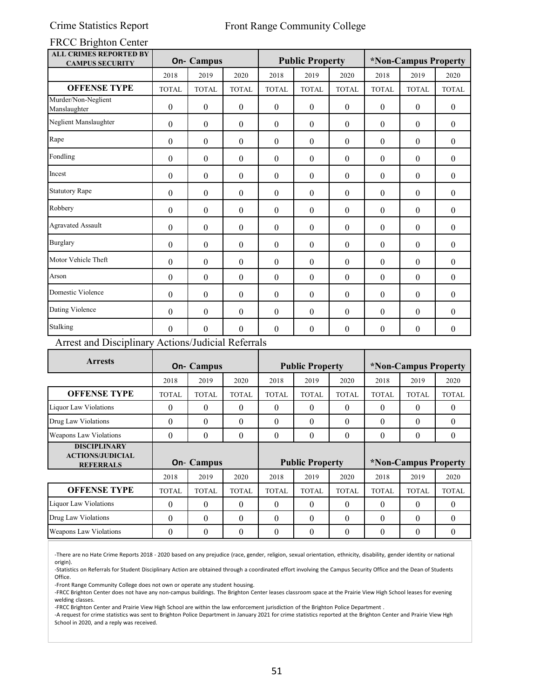### FRCC Brighton Center

| <b>ALL CRIMES REPORTED BY</b><br><b>CAMPUS SECURITY</b>            |                  | <b>On- Campus</b> |                  |                  | <b>Public Property</b> |                  | *Non-Campus Property<br>2019<br>2018 |                      |                  |
|--------------------------------------------------------------------|------------------|-------------------|------------------|------------------|------------------------|------------------|--------------------------------------|----------------------|------------------|
|                                                                    | 2018             | 2019              | 2020             | 2018             | 2019                   | 2020             |                                      |                      | 2020             |
| <b>OFFENSE TYPE</b>                                                | <b>TOTAL</b>     | <b>TOTAL</b>      | <b>TOTAL</b>     | <b>TOTAL</b>     | <b>TOTAL</b>           | <b>TOTAL</b>     | <b>TOTAL</b>                         | <b>TOTAL</b>         | <b>TOTAL</b>     |
| Murder/Non-Neglient<br>Manslaughter                                | $\boldsymbol{0}$ | $\boldsymbol{0}$  | $\boldsymbol{0}$ | $\boldsymbol{0}$ | $\boldsymbol{0}$       | $\boldsymbol{0}$ | $\overline{0}$                       | $\boldsymbol{0}$     | $\boldsymbol{0}$ |
| Neglient Manslaughter                                              | $\boldsymbol{0}$ | $\boldsymbol{0}$  | $\boldsymbol{0}$ | $\boldsymbol{0}$ | $\boldsymbol{0}$       | $\boldsymbol{0}$ | $\boldsymbol{0}$                     | $\boldsymbol{0}$     | $\boldsymbol{0}$ |
| Rape                                                               | $\mathbf{0}$     | $\boldsymbol{0}$  | $\boldsymbol{0}$ | $\mathbf{0}$     | $\mathbf{0}$           | $\boldsymbol{0}$ | $\overline{0}$                       | $\boldsymbol{0}$     | $\boldsymbol{0}$ |
| Fondling                                                           | $\boldsymbol{0}$ | $\boldsymbol{0}$  | $\boldsymbol{0}$ | $\boldsymbol{0}$ | $\boldsymbol{0}$       | $\mathbf{0}$     | $\boldsymbol{0}$                     | $\mathbf{0}$         | $\boldsymbol{0}$ |
| Incest                                                             | $\boldsymbol{0}$ | $\boldsymbol{0}$  | $\boldsymbol{0}$ | $\boldsymbol{0}$ | $\boldsymbol{0}$       | $\boldsymbol{0}$ | $\boldsymbol{0}$                     | $\boldsymbol{0}$     | $\boldsymbol{0}$ |
| <b>Statutory Rape</b>                                              | $\theta$         | $\boldsymbol{0}$  | $\boldsymbol{0}$ | $\mathbf{0}$     | $\theta$               | $\theta$         | $\overline{0}$                       | $\theta$             | $\boldsymbol{0}$ |
| Robbery                                                            | $\boldsymbol{0}$ | 0                 | $\overline{0}$   | $\theta$         | $\theta$               | $\boldsymbol{0}$ | $\boldsymbol{0}$                     | $\boldsymbol{0}$     | $\boldsymbol{0}$ |
| <b>Agravated Assault</b>                                           | $\theta$         | $\boldsymbol{0}$  | $\boldsymbol{0}$ | $\mathbf{0}$     | $\theta$               | $\theta$         | $\theta$                             | $\theta$             | $\Omega$         |
| <b>Burglary</b>                                                    | $\theta$         | $\boldsymbol{0}$  | $\boldsymbol{0}$ | $\mathbf{0}$     | $\boldsymbol{0}$       | $\boldsymbol{0}$ | $\boldsymbol{0}$                     | $\boldsymbol{0}$     | $\boldsymbol{0}$ |
| Motor Vehicle Theft                                                | $\boldsymbol{0}$ | 0                 | $\boldsymbol{0}$ | $\boldsymbol{0}$ | $\theta$               | $\boldsymbol{0}$ | $\boldsymbol{0}$                     | $\mathbf{0}$         | $\mathbf{0}$     |
| Arson                                                              | $\boldsymbol{0}$ | $\boldsymbol{0}$  | $\boldsymbol{0}$ | $\boldsymbol{0}$ | $\boldsymbol{0}$       | $\boldsymbol{0}$ | $\overline{0}$                       | $\boldsymbol{0}$     | $\boldsymbol{0}$ |
| Domestic Violence                                                  | $\mathbf{0}$     | $\boldsymbol{0}$  | $\boldsymbol{0}$ | $\mathbf{0}$     | $\mathbf{0}$           | $\mathbf{0}$     | $\overline{0}$                       | $\mathbf{0}$         | $\theta$         |
| Dating Violence                                                    | $\boldsymbol{0}$ | $\boldsymbol{0}$  | $\boldsymbol{0}$ | $\mathbf{0}$     | $\boldsymbol{0}$       | $\mathbf{0}$     | $\boldsymbol{0}$                     | $\boldsymbol{0}$     | $\boldsymbol{0}$ |
| Stalking                                                           | $\theta$         | $\boldsymbol{0}$  | $\boldsymbol{0}$ | $\boldsymbol{0}$ | $\boldsymbol{0}$       | $\boldsymbol{0}$ | $\boldsymbol{0}$                     | $\mathbf{0}$         | $\boldsymbol{0}$ |
| Arrest and Disciplinary Actions/Judicial Referrals                 |                  |                   |                  |                  |                        |                  |                                      |                      |                  |
| <b>Arrests</b>                                                     |                  | <b>On- Campus</b> |                  |                  | <b>Public Property</b> |                  | *Non-Campus Property                 |                      |                  |
|                                                                    | 2018             | 2019              | 2020             | 2018             | 2019                   | 2020             | 2018                                 | 2019                 | 2020             |
| <b>OFFENSE TYPE</b>                                                | <b>TOTAL</b>     | <b>TOTAL</b>      | <b>TOTAL</b>     | <b>TOTAL</b>     | <b>TOTAL</b>           | <b>TOTAL</b>     | <b>TOTAL</b>                         | <b>TOTAL</b>         | <b>TOTAL</b>     |
| <b>Liquor Law Violations</b>                                       | $\boldsymbol{0}$ | $\boldsymbol{0}$  | $\boldsymbol{0}$ | $\boldsymbol{0}$ | $\mathbf{0}$           | $\mathbf{0}$     | $\overline{0}$                       | $\overline{0}$       | $\theta$         |
| Drug Law Violations                                                | $\boldsymbol{0}$ | 0                 | $\boldsymbol{0}$ | $\boldsymbol{0}$ | $\boldsymbol{0}$       | $\boldsymbol{0}$ | $\boldsymbol{0}$                     | $\boldsymbol{0}$     | $\mathbf{0}$     |
| Weapons Law Violations                                             | $\boldsymbol{0}$ | $\boldsymbol{0}$  | $\boldsymbol{0}$ | $\boldsymbol{0}$ | $\boldsymbol{0}$       | $\boldsymbol{0}$ | $\overline{0}$                       | $\boldsymbol{0}$     | $\boldsymbol{0}$ |
| <b>DISCIPLINARY</b><br><b>ACTIONS/JUDICIAL</b><br><b>REFERRALS</b> |                  | <b>On-Campus</b>  |                  |                  | <b>Public Property</b> |                  |                                      | *Non-Campus Property |                  |

| well ennumer           |              |              |              |              |              |              |              |              |              |
|------------------------|--------------|--------------|--------------|--------------|--------------|--------------|--------------|--------------|--------------|
|                        | 2018         | 2019         | 2020         | 2018         | 2019         | 2020         | 2018         | 2019         | 2020         |
| <b>OFFENSE TYPE</b>    | <b>TOTAL</b> | <b>TOTAL</b> | <b>TOTAL</b> | <b>TOTAL</b> | <b>TOTAL</b> | <b>TOTAL</b> | <b>TOTAL</b> | <b>TOTAL</b> | <b>TOTAL</b> |
| Liquor Law Violations  |              |              |              |              |              |              |              | 0            |              |
| Drug Law Violations    |              |              |              |              |              |              |              | 0            |              |
| Weapons Law Violations | 0            |              |              |              |              |              | 0            | 0            |              |

-There are no Hate Crime Reports 2018 - 2020 based on any prejudice (race, gender, religion, sexual orientation, ethnicity, disability, gender identity or national origin).

-Statistics on Referrals for Student Disciplinary Action are obtained through a coordinated effort involving the Campus Security Office and the Dean of Students Office.

-Front Range Community College does not own or operate any student housing.

-FRCC Brighton Center does not have any non-campus buildings. The Brighton Center leases classroom space at the Prairie View High School leases for evening welding classes.

-FRCC Brighton Center and Prairie View High School are within the law enforcement jurisdiction of the Brighton Police Department .

-A request for crime statistics was sent to Brighton Police Department in January 2021 for crime statistics reported at the Brighton Center and Prairie View Hgh School in 2020, and a reply was received.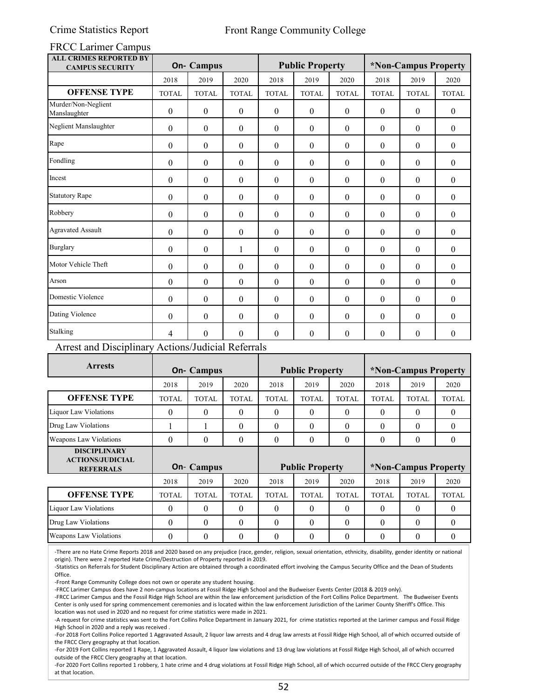#### FRCC Larimer Campus

| <b>ALL CRIMES REPORTED BY</b><br><b>CAMPUS SECURITY</b>         | On- Campus       |                  |                  |                  | <b>Public Property</b> |                  |                  | *Non-Campus Property |              |  |
|-----------------------------------------------------------------|------------------|------------------|------------------|------------------|------------------------|------------------|------------------|----------------------|--------------|--|
|                                                                 | 2018             | 2019             | 2020             | 2018             | 2019                   | 2020             | 2018             | 2019                 | 2020         |  |
| <b>OFFENSE TYPE</b>                                             | <b>TOTAL</b>     | <b>TOTAL</b>     | <b>TOTAL</b>     | <b>TOTAL</b>     | <b>TOTAL</b>           | <b>TOTAL</b>     | <b>TOTAL</b>     | <b>TOTAL</b>         | <b>TOTAL</b> |  |
| Murder/Non-Neglient<br>Manslaughter                             | $\boldsymbol{0}$ | $\mathbf{0}$     | $\boldsymbol{0}$ | $\boldsymbol{0}$ | $\boldsymbol{0}$       | $\boldsymbol{0}$ | $\mathbf{0}$     | $\boldsymbol{0}$     | $\mathbf{0}$ |  |
| Neglient Manslaughter                                           | $\theta$         | $\theta$         | $\boldsymbol{0}$ | $\mathbf{0}$     | $\theta$               | $\theta$         | $\theta$         | $\theta$             | $\mathbf{0}$ |  |
| Rape                                                            | $\Omega$         | $\mathbf{0}$     | $\boldsymbol{0}$ | $\mathbf{0}$     | $\theta$               | $\theta$         | $\theta$         | $\theta$             | $\theta$     |  |
| Fondling                                                        | $\boldsymbol{0}$ | $\mathbf{0}$     | $\boldsymbol{0}$ | $\boldsymbol{0}$ | $\boldsymbol{0}$       | $\boldsymbol{0}$ | $\boldsymbol{0}$ | $\boldsymbol{0}$     | $\mathbf{0}$ |  |
| Incest                                                          | $\theta$         | $\theta$         | $\boldsymbol{0}$ | $\mathbf{0}$     | $\theta$               | $\theta$         | $\theta$         | $\theta$             | $\theta$     |  |
| <b>Statutory Rape</b>                                           | $\theta$         | $\theta$         | $\boldsymbol{0}$ | $\boldsymbol{0}$ | $\theta$               | $\theta$         | $\theta$         | $\theta$             | $\theta$     |  |
| Robbery                                                         | $\boldsymbol{0}$ | $\mathbf{0}$     | $\boldsymbol{0}$ | $\mathbf{0}$     | $\mathbf{0}$           | $\mathbf{0}$     | $\mathbf{0}$     | $\boldsymbol{0}$     | $\mathbf{0}$ |  |
| <b>Agravated Assault</b>                                        | $\theta$         | $\mathbf{0}$     | $\boldsymbol{0}$ | $\mathbf{0}$     | $\mathbf{0}$           | $\theta$         | $\theta$         | $\theta$             | $\theta$     |  |
| <b>Burglary</b>                                                 | $\mathbf{0}$     | $\theta$         | 1                | $\boldsymbol{0}$ | $\theta$               | $\theta$         | $\mathbf{0}$     | $\mathbf{0}$         | $\mathbf{0}$ |  |
| Motor Vehicle Theft                                             | $\boldsymbol{0}$ | $\boldsymbol{0}$ | $\boldsymbol{0}$ | $\boldsymbol{0}$ | $\theta$               | $\theta$         | $\theta$         | $\theta$             | $\theta$     |  |
| Arson                                                           | $\theta$         | $\theta$         | $\boldsymbol{0}$ | $\mathbf{0}$     | $\theta$               | $\theta$         | $\theta$         | $\theta$             | $\theta$     |  |
| Domestic Violence                                               | $\theta$         | $\theta$         | $\theta$         | $\boldsymbol{0}$ | $\theta$               | $\theta$         | $\theta$         | $\theta$             | $\theta$     |  |
| Dating Violence                                                 | $\boldsymbol{0}$ | $\mathbf{0}$     | $\boldsymbol{0}$ | $\boldsymbol{0}$ | $\boldsymbol{0}$       | $\boldsymbol{0}$ | $\boldsymbol{0}$ | $\boldsymbol{0}$     | $\mathbf{0}$ |  |
| Stalking<br>A west and Dissiplinews A stigns (Indicial Defermed | $\overline{4}$   | $\theta$         | $\theta$         | $\boldsymbol{0}$ | $\theta$               | $\theta$         | $\boldsymbol{0}$ | $\boldsymbol{0}$     | $\mathbf{0}$ |  |

#### Arrest and Disciplinary Actions/Judicial Referrals

| <b>Arrests</b>                                                     |                  | <b>On-</b> Campus |              |              | <b>Public Property</b> |              |                      | *Non-Campus Property |              |  |
|--------------------------------------------------------------------|------------------|-------------------|--------------|--------------|------------------------|--------------|----------------------|----------------------|--------------|--|
|                                                                    | 2018             | 2019              | 2020         | 2018         | 2019                   | 2020         | 2018                 | 2019                 | 2020         |  |
| <b>OFFENSE TYPE</b>                                                | <b>TOTAL</b>     | <b>TOTAL</b>      | <b>TOTAL</b> | <b>TOTAL</b> | <b>TOTAL</b>           | <b>TOTAL</b> | <b>TOTAL</b>         | <b>TOTAL</b>         | <b>TOTAL</b> |  |
| <b>Liquor Law Violations</b>                                       | $\theta$         | $\Omega$          | 0            | $\Omega$     | $\Omega$               | $\theta$     | $\Omega$             | $\Omega$             | $\theta$     |  |
| Drug Law Violations                                                |                  |                   | $\theta$     | $\theta$     | $\theta$               | $\theta$     | $\theta$             | $\theta$             | $\theta$     |  |
| <b>Weapons Law Violations</b>                                      | $\theta$         | $\theta$          | 0            | $\theta$     | $\theta$               | $\theta$     | $\theta$             | $\theta$             | $\theta$     |  |
| <b>DISCIPLINARY</b><br><b>ACTIONS/JUDICIAL</b><br><b>REFERRALS</b> | <b>On-Campus</b> |                   |              |              | <b>Public Property</b> |              | *Non-Campus Property |                      |              |  |
|                                                                    | 2018             | 2019              | 2020         | 2018         | 2019                   | 2020         | 2018                 | 2019                 | 2020         |  |
| <b>OFFENSE TYPE</b>                                                | <b>TOTAL</b>     | <b>TOTAL</b>      | <b>TOTAL</b> | TOTAL        | <b>TOTAL</b>           | <b>TOTAL</b> | <b>TOTAL</b>         | <b>TOTAL</b>         | <b>TOTAL</b> |  |
| <b>Liquor Law Violations</b>                                       | $\theta$         | $\theta$          | 0            | $\theta$     | $\theta$               | $\theta$     | $\theta$             | $\theta$             | $\theta$     |  |
| Drug Law Violations                                                | $\Omega$         | 0                 | 0            | $\Omega$     | $\Omega$               | $\Omega$     | $\Omega$             | $\Omega$             | $\Omega$     |  |
| <b>Weapons Law Violations</b>                                      | $\theta$         | $\theta$          | $\theta$     | $\theta$     | $\theta$               | $\theta$     | $\theta$             | $\theta$             | $\theta$     |  |

-There are no Hate Crime Reports 2018 and 2020 based on any prejudice (race, gender, religion, sexual orientation, ethnicity, disability, gender identity or national origin). There were 2 reported Hate Crime/Destruction of Property reported in 2019.

-Statistics on Referrals for Student Disciplinary Action are obtained through a coordinated effort involving the Campus Security Office and the Dean of Students Office.

-Front Range Community College does not own or operate any student housing.

-FRCC Larimer Campus does have 2 non-campus locations at Fossil Ridge High School and the Budweiser Events Center (2018 & 2019 only).

-FRCC Larimer Campus and the Fossil Ridge High School are within the law enforcement jurisdiction of the Fort Collins Police Department. The Budweiser Events Center is only used for spring commencement ceremonies and is located within the law enforcement Jurisdiction of the Larimer County Sheriff's Office. This location was not used in 2020 and no request for crime statistics were made in 2021.

-A request for crime statistics was sent to the Fort Collins Police Department in January 2021, for crime statistics reported at the Larimer campus and Fossil Ridge High School in 2020 and a reply was received .

-For 2018 Fort Collins Police reported 1 Aggravated Assault, 2 liquor law arrests and 4 drug law arrests at Fossil Ridge High School, all of which occurred outside of the FRCC Clery geography at that location.

-For 2019 Fort Collins reported 1 Rape, 1 Aggravated Assault, 4 liquor law violations and 13 drug law violations at Fossil Ridge High School, all of which occurred outside of the FRCC Clery geography at that location.

-For 2020 Fort Collins reported 1 robbery, 1 hate crime and 4 drug violations at Fossil Ridge High School, all of which occurred outside of the FRCC Clery geography at that location.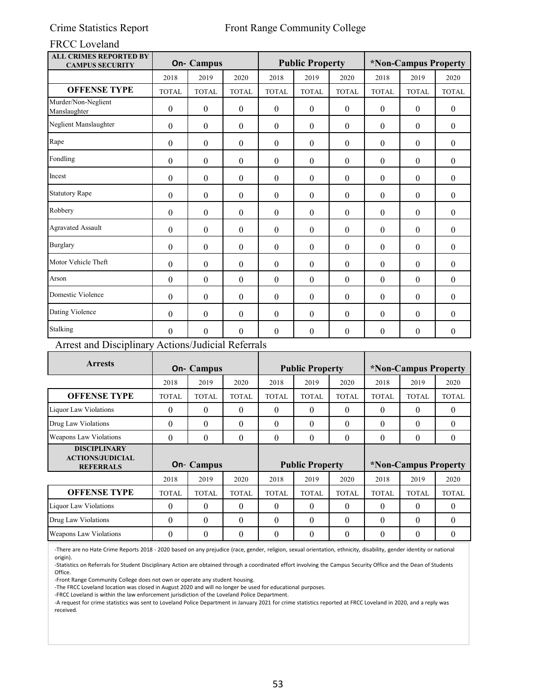System Director of Facilities or the mergency Management Director Both directors can issue an AN on the colleges behalf

e

## FRCC ill itout elay an tain into account te saety o te community etermine te content o t notiication an initiate te notiication system unless issuin a notiication ill in te proessional ument o te responsible autorities compromise te eorts to assist a ictim or to contain respon to or oterise mitiate te emerency

The college uses redundant notification systems for more reliable communications in case one of the systems fails If a system is found to have failed as oversight department for that system the Department of Campus Security and Peparedness will make an immediate call to the appropriate vendor for repairs

#### **T**he

FRCC will issue a timely warningotification to the colle ge community for specific Clery Act Crimeshat occur on our Clery Actgeography that are reported to campus security authorities or local police agencies and considered by the institution to represent a serious or continuing threat to students and employ ees FRCC may also issue timely warning notifications for non-Clery Act crimes committed on college properties or within the community for an ongoing threat or other emergency situation which has been reported to the Campus Security Office local police or a campus security authority

The Campus Security Office will consult with the campus Vice Pesident and/or the Dean of Student Affairs if time allows before issuing a timely warning The method for dissemination of information to the college community may include one or more of the following notifications Singlewire voice over phone message Alertus computer alert AppArmor alert general email or posting of pertinent information The primary concern of the college administration is to ensure that mem bers of the campus community are made aware of these crimes or situations as quickly as possible so they may adust their work patterns and habits to incorporate a higher degree of awareness of personal safety within their lives Information provided will include the nature of the crime date time known information and general location of occurrence of each reported crime A victims name will not be used in a Timely Warning Notification

If there is clear and convincing evidence that the release of any r equired information would eopardie an ongoing criminal investigation or the safety of an individual cause a suspect to flee or evade detection or result in the destruction of evidence such information may be withheld until that damage is no longer likely to occur from the release of such information

If an emergency notification has been issued a Timely Warning may not be required for the same event

#### **Sagge**

Front Range Community College utilies the Standard Response Potocol SRP and has developed an mergency Pocedures uide which are posted in all of the classrooms offices conference and community rooms on the three main campuses Boulder County including the Center for Integrated Manufacturing Larimer Westminster the Brighton Center FR CC Loveland Pospect Center and Fossil Ridge igh School The